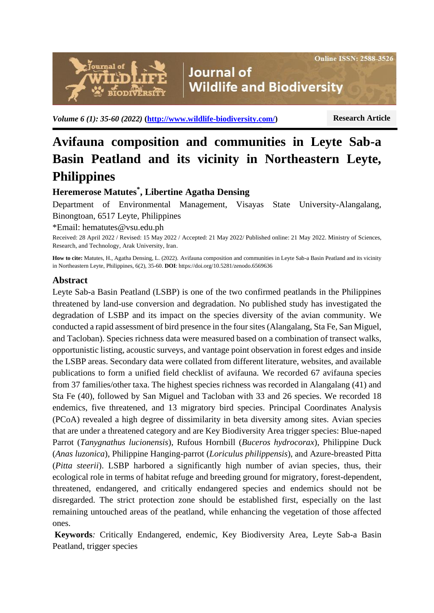# ournal of ODIVËRSI<sup>6</sup>

**Research Article**

# **Avifauna composition and communities in Leyte Sab-a Basin Peatland and its vicinity in Northeastern Leyte, Philippines**

**Journal of** 

**Wildlife and Biodiversity** 

### **Heremerose Matutes\* , Libertine Agatha Densing**

*Volume 6 (1): 35-60 (2022)* **[\(http://www.wildlife-biodiversity.com/\)](http://www.wildlife-biodiversity.com/)**

Department of Environmental Management, Visayas State University-Alangalang, Binongtoan, 6517 Leyte, Philippines

\*Email: [hematutes@vsu.edu.ph](about:blank)

Received: 28 April 2022 / Revised: 15 May 2022 / Accepted: 21 May 2022/ Published online: 21 May 2022. Ministry of Sciences, Research, and Technology, Arak University, Iran.

**How to cite:** Matutes, H., Agatha Densing, L. (2022). Avifauna composition and communities in Leyte Sab-a Basin Peatland and its vicinity in Northeastern Leyte, Philippines, 6(2), 35-60. **DOI**: https://doi.org/10.5281/zenodo.6569636

#### **Abstract**

Leyte Sab-a Basin Peatland (LSBP) is one of the two confirmed peatlands in the Philippines threatened by land-use conversion and degradation. No published study has investigated the degradation of LSBP and its impact on the species diversity of the avian community. We conducted a rapid assessment of bird presence in the four sites (Alangalang, Sta Fe, San Miguel, and Tacloban). Species richness data were measured based on a combination of transect walks, opportunistic listing, acoustic surveys, and vantage point observation in forest edges and inside the LSBP areas. Secondary data were collated from different literature, websites, and available publications to form a unified field checklist of avifauna. We recorded 67 avifauna species from 37 families/other taxa. The highest species richness was recorded in Alangalang (41) and Sta Fe (40), followed by San Miguel and Tacloban with 33 and 26 species. We recorded 18 endemics, five threatened, and 13 migratory bird species. Principal Coordinates Analysis (PCoA) revealed a high degree of dissimilarity in beta diversity among sites. Avian species that are under a threatened category and are Key Biodiversity Area trigger species: Blue-naped Parrot (*Tanygnathus lucionensis*), Rufous Hornbill (*Buceros hydrocorax*), Philippine Duck (*Anas luzonica*), Philippine Hanging-parrot (*Loriculus philippensis*), and Azure-breasted Pitta (*Pitta steerii*). LSBP harbored a significantly high number of avian species, thus, their ecological role in terms of habitat refuge and breeding ground for migratory, forest-dependent, threatened, endangered, and critically endangered species and endemics should not be disregarded. The strict protection zone should be established first, especially on the last remaining untouched areas of the peatland, while enhancing the vegetation of those affected ones.

**Keywords***:* Critically Endangered, endemic, Key Biodiversity Area, Leyte Sab-a Basin Peatland, trigger species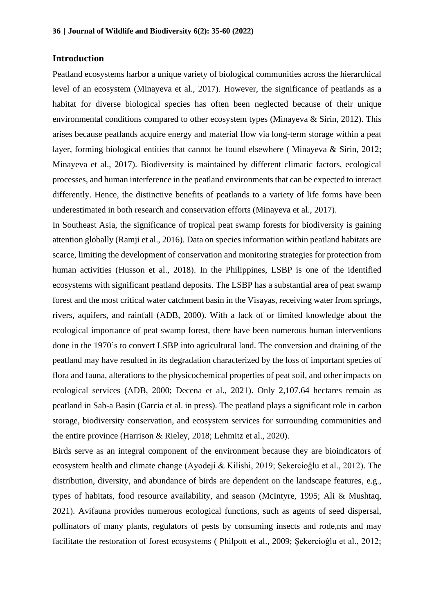#### **Introduction**

Peatland ecosystems harbor a unique variety of biological communities across the hierarchical level of an ecosystem (Minayeva et al., 2017). However, the significance of peatlands as a habitat for diverse biological species has often been neglected because of their unique environmental conditions compared to other ecosystem types (Minayeva & Sirin, 2012). This arises because peatlands acquire energy and material flow via long-term storage within a peat layer, forming biological entities that cannot be found elsewhere ( Minayeva & Sirin, 2012; Minayeva et al., 2017). Biodiversity is maintained by different climatic factors, ecological processes, and human interference in the peatland environments that can be expected to interact differently. Hence, the distinctive benefits of peatlands to a variety of life forms have been underestimated in both research and conservation efforts (Minayeva et al., 2017).

In Southeast Asia, the significance of tropical peat swamp forests for biodiversity is gaining attention globally (Ramji et al., 2016). Data on species information within peatland habitats are scarce, limiting the development of conservation and monitoring strategies for protection from human activities (Husson et al., 2018). In the Philippines, LSBP is one of the identified ecosystems with significant peatland deposits. The LSBP has a substantial area of peat swamp forest and the most critical water catchment basin in the Visayas, receiving water from springs, rivers, aquifers, and rainfall (ADB, 2000). With a lack of or limited knowledge about the ecological importance of peat swamp forest, there have been numerous human interventions done in the 1970's to convert LSBP into agricultural land. The conversion and draining of the peatland may have resulted in its degradation characterized by the loss of important species of flora and fauna, alterations to the physicochemical properties of peat soil, and other impacts on ecological services (ADB, 2000; Decena et al., 2021). Only 2,107.64 hectares remain as peatland in Sab-a Basin (Garcia et al. in press). The peatland plays a significant role in carbon storage, biodiversity conservation, and ecosystem services for surrounding communities and the entire province (Harrison & Rieley, 2018; Lehmitz et al., 2020).

Birds serve as an integral component of the environment because they are bioindicators of ecosystem health and climate change (Ayodeji & Kilishi, 2019; Şekercioĝlu et al., 2012). The distribution, diversity, and abundance of birds are dependent on the landscape features, e.g., types of habitats, food resource availability, and season (McIntyre, 1995; Ali & Mushtaq, 2021). Avifauna provides numerous ecological functions, such as agents of seed dispersal, pollinators of many plants, regulators of pests by consuming insects and rode,nts and may facilitate the restoration of forest ecosystems ( Philpott et al., 2009; Şekercioĝlu et al., 2012;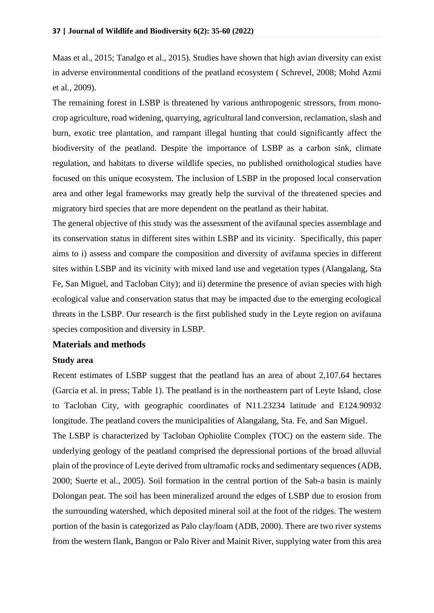Maas et al., 2015; Tanalgo et al., 2015). Studies have shown that high avian diversity can exist in adverse environmental conditions of the peatland ecosystem ( Schrevel, 2008; Mohd Azmi et al., 2009).

The remaining forest in LSBP is threatened by various anthropogenic stressors, from monocrop agriculture, road widening, quarrying, agricultural land conversion, reclamation, slash and burn, exotic tree plantation, and rampant illegal hunting that could significantly affect the biodiversity of the peatland. Despite the importance of LSBP as a carbon sink, climate regulation, and habitats to diverse wildlife species, no published ornithological studies have focused on this unique ecosystem. The inclusion of LSBP in the proposed local conservation area and other legal frameworks may greatly help the survival of the threatened species and migratory bird species that are more dependent on the peatland as their habitat.

The general objective of this study was the assessment of the avifaunal species assemblage and its conservation status in different sites within LSBP and its vicinity. Specifically, this paper aims to i) assess and compare the composition and diversity of avifauna species in different sites within LSBP and its vicinity with mixed land use and vegetation types (Alangalang, Sta Fe, San Miguel, and Tacloban City); and ii) determine the presence of avian species with high ecological value and conservation status that may be impacted due to the emerging ecological threats in the LSBP. Our research is the first published study in the Leyte region on avifauna species composition and diversity in LSBP.

#### **Materials and methods**

#### **Study area**

Recent estimates of LSBP suggest that the peatland has an area of about 2,107.64 hectares (Garcia et al. in press; Table 1). The peatland is in the northeastern part of Leyte Island, close to Tacloban City, with geographic coordinates of N11.23234 latitude and E124.90932 longitude. The peatland covers the municipalities of Alangalang, Sta. Fe, and San Miguel. The LSBP is characterized by Tacloban Ophiolite Complex (TOC) on the eastern side. The underlying geology of the peatland comprised the depressional portions of the broad alluvial plain of the province of Leyte derived from ultramafic rocks and sedimentary sequences (ADB, 2000; Suerte et al., 2005). Soil formation in the central portion of the Sab-a basin is mainly Dolongan peat. The soil has been mineralized around the edges of LSBP due to erosion from the surrounding watershed, which deposited mineral soil at the foot of the ridges. The western portion of the basin is categorized as Palo clay/loam (ADB, 2000). There are two river systems from the western flank, Bangon or Palo River and Mainit River, supplying water from this area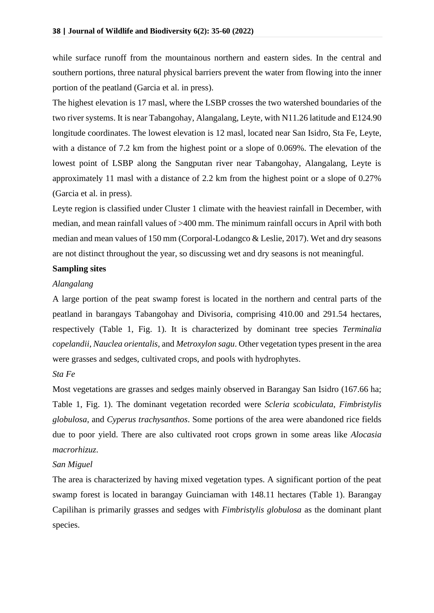while surface runoff from the mountainous northern and eastern sides. In the central and southern portions, three natural physical barriers prevent the water from flowing into the inner portion of the peatland (Garcia et al. in press).

The highest elevation is 17 masl, where the LSBP crosses the two watershed boundaries of the two river systems. It is near Tabangohay, Alangalang, Leyte, with N11.26 latitude and E124.90 longitude coordinates. The lowest elevation is 12 masl, located near San Isidro, Sta Fe, Leyte, with a distance of 7.2 km from the highest point or a slope of 0.069%. The elevation of the lowest point of LSBP along the Sangputan river near Tabangohay, Alangalang, Leyte is approximately 11 masl with a distance of 2.2 km from the highest point or a slope of 0.27% (Garcia et al. in press).

Leyte region is classified under Cluster 1 climate with the heaviest rainfall in December, with median, and mean rainfall values of >400 mm. The minimum rainfall occurs in April with both median and mean values of 150 mm (Corporal-Lodangco & Leslie, 2017). Wet and dry seasons are not distinct throughout the year, so discussing wet and dry seasons is not meaningful.

#### **Sampling sites**

#### *Alangalang*

A large portion of the peat swamp forest is located in the northern and central parts of the peatland in barangays Tabangohay and Divisoria, comprising 410.00 and 291.54 hectares, respectively (Table 1, Fig. 1). It is characterized by dominant tree species *Terminalia copelandii*, *Nauclea orientalis,* and *Metroxylon sagu*. Other vegetation types present in the area were grasses and sedges, cultivated crops, and pools with hydrophytes.

#### *Sta Fe*

Most vegetations are grasses and sedges mainly observed in Barangay San Isidro (167.66 ha; Table 1, Fig. 1). The dominant vegetation recorded were *Scleria scobiculata*, *Fimbristylis globulosa*, and *Cyperus trachysanthos*. Some portions of the area were abandoned rice fields due to poor yield. There are also cultivated root crops grown in some areas like *Alocasia macrorhizuz*.

#### *San Miguel*

The area is characterized by having mixed vegetation types. A significant portion of the peat swamp forest is located in barangay Guinciaman with 148.11 hectares (Table 1). Barangay Capilihan is primarily grasses and sedges with *Fimbristylis globulosa* as the dominant plant species.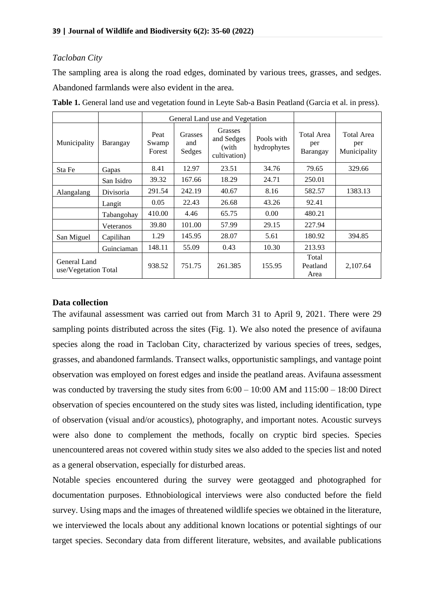#### *Tacloban City*

The sampling area is along the road edges, dominated by various trees, grasses, and sedges. Abandoned farmlands were also evident in the area.

|                                      |            |                         |                          | General Land use and Vegetation                |                           |                                      |                                   |
|--------------------------------------|------------|-------------------------|--------------------------|------------------------------------------------|---------------------------|--------------------------------------|-----------------------------------|
| Municipality                         | Barangay   | Peat<br>Swamp<br>Forest | Grasses<br>and<br>Sedges | Grasses<br>and Sedges<br>(with<br>cultivation) | Pools with<br>hydrophytes | <b>Total Area</b><br>per<br>Barangay | Total Area<br>per<br>Municipality |
| Sta Fe                               | Gapas      | 8.41                    | 12.97                    | 23.51                                          | 34.76                     | 79.65                                | 329.66                            |
|                                      | San Isidro | 39.32                   | 167.66                   | 18.29                                          | 24.71                     | 250.01                               |                                   |
| Alangalang                           | Divisoria  | 291.54                  | 242.19                   | 40.67                                          | 8.16                      | 582.57                               | 1383.13                           |
|                                      | Langit     | 0.05                    | 22.43                    | 26.68                                          | 43.26                     | 92.41                                |                                   |
|                                      | Tabangohay | 410.00                  | 4.46                     | 65.75                                          | 0.00                      | 480.21                               |                                   |
|                                      | Veteranos  | 39.80                   | 101.00                   | 57.99                                          | 29.15                     | 227.94                               |                                   |
| San Miguel                           | Capilihan  | 1.29                    | 145.95                   | 28.07                                          | 5.61                      | 180.92                               | 394.85                            |
|                                      | Guinciaman | 148.11                  | 55.09                    | 0.43                                           | 10.30                     | 213.93                               |                                   |
| General Land<br>use/Vegetation Total |            | 938.52                  | 751.75                   | 261.385                                        | 155.95                    | Total<br>Peatland<br>Area            | 2,107.64                          |

**Table 1.** General land use and vegetation found in Leyte Sab-a Basin Peatland (Garcia et al. in press).

#### **Data collection**

The avifaunal assessment was carried out from March 31 to April 9, 2021. There were 29 sampling points distributed across the sites (Fig. 1). We also noted the presence of avifauna species along the road in Tacloban City, characterized by various species of trees, sedges, grasses, and abandoned farmlands. Transect walks, opportunistic samplings, and vantage point observation was employed on forest edges and inside the peatland areas. Avifauna assessment was conducted by traversing the study sites from  $6:00 - 10:00$  AM and  $115:00 - 18:00$  Direct observation of species encountered on the study sites was listed, including identification, type of observation (visual and/or acoustics), photography, and important notes. Acoustic surveys were also done to complement the methods, focally on cryptic bird species. Species unencountered areas not covered within study sites we also added to the species list and noted as a general observation, especially for disturbed areas.

Notable species encountered during the survey were geotagged and photographed for documentation purposes. Ethnobiological interviews were also conducted before the field survey. Using maps and the images of threatened wildlife species we obtained in the literature, we interviewed the locals about any additional known locations or potential sightings of our target species. Secondary data from different literature, websites, and available publications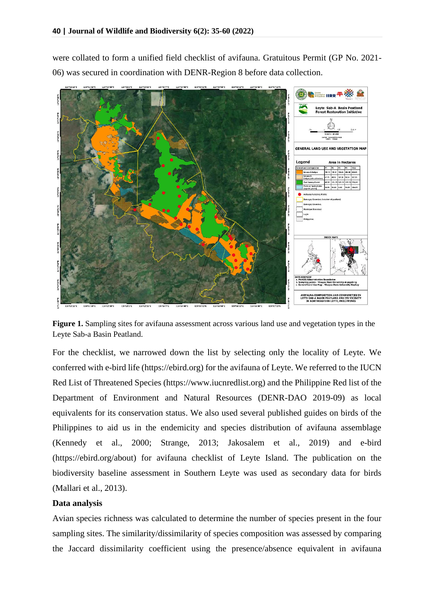were collated to form a unified field checklist of avifauna. Gratuitous Permit (GP No. 2021- 06) was secured in coordination with DENR-Region 8 before data collection.



**Figure 1.** Sampling sites for avifauna assessment across various land use and vegetation types in the Leyte Sab-a Basin Peatland.

For the checklist, we narrowed down the list by selecting only the locality of Leyte. We conferred with e-bird life (https://ebird.org) for the avifauna of Leyte. We referred to the IUCN Red List of Threatened Species (https://www.iucnredlist.org) and the Philippine Red list of the Department of Environment and Natural Resources (DENR-DAO 2019-09) as local equivalents for its conservation status. We also used several published guides on birds of the Philippines to aid us in the endemicity and species distribution of avifauna assemblage (Kennedy et al., 2000; Strange, 2013; Jakosalem et al., 2019) and e-bird (https://ebird.org/about) for avifauna checklist of Leyte Island. The publication on the biodiversity baseline assessment in Southern Leyte was used as secondary data for birds (Mallari et al., 2013).

#### **Data analysis**

Avian species richness was calculated to determine the number of species present in the four sampling sites. The similarity/dissimilarity of species composition was assessed by comparing the Jaccard dissimilarity coefficient using the presence/absence equivalent in avifauna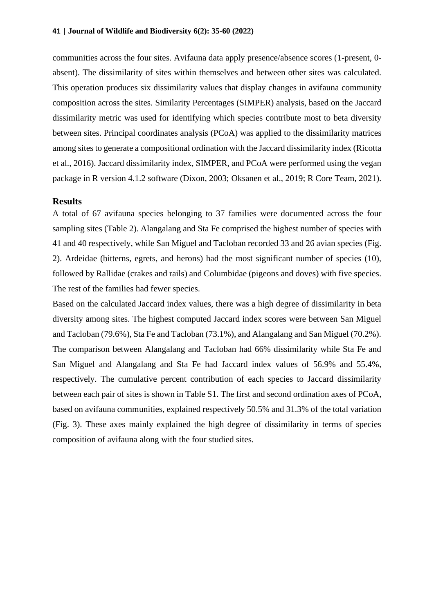communities across the four sites. Avifauna data apply presence/absence scores (1-present, 0 absent). The dissimilarity of sites within themselves and between other sites was calculated. This operation produces six dissimilarity values that display changes in avifauna community composition across the sites. Similarity Percentages (SIMPER) analysis, based on the Jaccard dissimilarity metric was used for identifying which species contribute most to beta diversity between sites. Principal coordinates analysis (PCoA) was applied to the dissimilarity matrices among sites to generate a compositional ordination with the Jaccard dissimilarity index (Ricotta et al., 2016). Jaccard dissimilarity index, SIMPER, and PCoA were performed using the vegan package in R version 4.1.2 software (Dixon, 2003; Oksanen et al., 2019; R Core Team, 2021).

#### **Results**

A total of 67 avifauna species belonging to 37 families were documented across the four sampling sites (Table 2). Alangalang and Sta Fe comprised the highest number of species with 41 and 40 respectively, while San Miguel and Tacloban recorded 33 and 26 avian species (Fig. 2). Ardeidae (bitterns, egrets, and herons) had the most significant number of species (10), followed by Rallidae (crakes and rails) and Columbidae (pigeons and doves) with five species. The rest of the families had fewer species.

Based on the calculated Jaccard index values, there was a high degree of dissimilarity in beta diversity among sites. The highest computed Jaccard index scores were between San Miguel and Tacloban (79.6%), Sta Fe and Tacloban (73.1%), and Alangalang and San Miguel (70.2%). The comparison between Alangalang and Tacloban had 66% dissimilarity while Sta Fe and San Miguel and Alangalang and Sta Fe had Jaccard index values of 56.9% and 55.4%, respectively. The cumulative percent contribution of each species to Jaccard dissimilarity between each pair of sites is shown in Table S1. The first and second ordination axes of PCoA, based on avifauna communities, explained respectively 50.5% and 31.3% of the total variation (Fig. 3). These axes mainly explained the high degree of dissimilarity in terms of species composition of avifauna along with the four studied sites.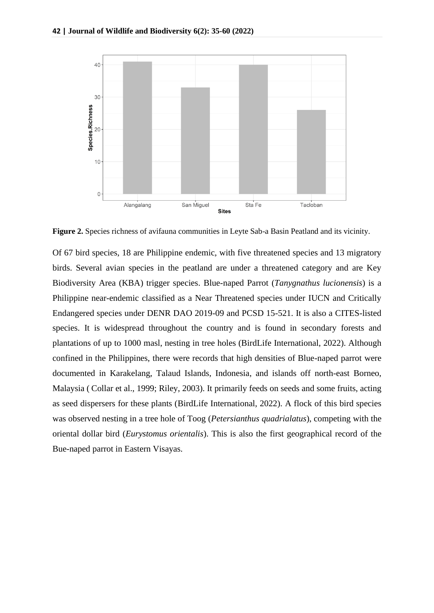

**Figure 2.** Species richness of avifauna communities in Leyte Sab-a Basin Peatland and its vicinity.

Of 67 bird species, 18 are Philippine endemic, with five threatened species and 13 migratory birds. Several avian species in the peatland are under a threatened category and are Key Biodiversity Area (KBA) trigger species. Blue-naped Parrot (*Tanygnathus lucionensis*) is a Philippine near-endemic classified as a Near Threatened species under IUCN and Critically Endangered species under DENR DAO 2019-09 and PCSD 15-521. It is also a CITES-listed species. It is widespread throughout the country and is found in secondary forests and plantations of up to 1000 masl, nesting in tree holes (BirdLife International, 2022). Although confined in the Philippines, there were records that high densities of Blue-naped parrot were documented in Karakelang, Talaud Islands, Indonesia, and islands off north-east Borneo, Malaysia ( Collar et al., 1999; Riley, 2003). It primarily feeds on seeds and some fruits, acting as seed dispersers for these plants (BirdLife International, 2022). A flock of this bird species was observed nesting in a tree hole of Toog (*Petersianthus quadrialatus*), competing with the oriental dollar bird (*Eurystomus orientalis*). This is also the first geographical record of the Bue-naped parrot in Eastern Visayas.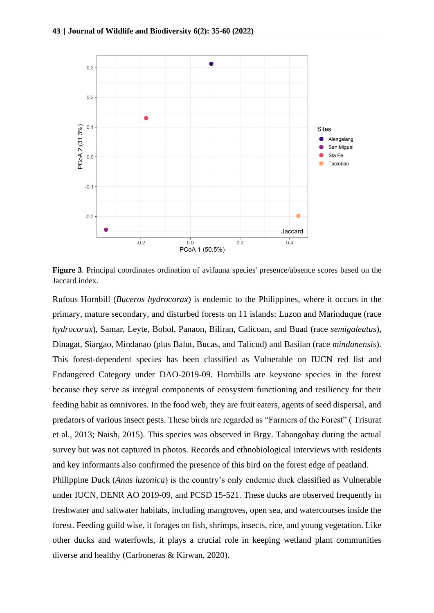

**Figure 3**. Principal coordinates ordination of avifauna species' presence/absence scores based on the Jaccard index.

Rufous Hornbill (*Buceros hydrocorax*) is endemic to the Philippines, where it occurs in the primary, mature secondary, and disturbed forests on 11 islands: Luzon and Marinduque (race *hydrocorax*), Samar, Leyte, Bohol, Panaon, Biliran, Calicoan, and Buad (race *semigaleatus*), Dinagat, Siargao, Mindanao (plus Balut, Bucas, and Talicud) and Basilan (race *mindanensis*). This forest-dependent species has been classified as Vulnerable on IUCN red list and Endangered Category under DAO-2019-09. Hornbills are keystone species in the forest because they serve as integral components of ecosystem functioning and resiliency for their feeding habit as omnivores. In the food web, they are fruit eaters, agents of seed dispersal, and predators of various insect pests. These birds are regarded as "Farmers of the Forest" ( Trisurat et al., 2013; Naish, 2015). This species was observed in Brgy. Tabangohay during the actual survey but was not captured in photos. Records and ethnobiological interviews with residents and key informants also confirmed the presence of this bird on the forest edge of peatland. Philippine Duck (*Anas luzonica*) is the country's only endemic duck classified as Vulnerable under IUCN, DENR AO 2019-09, and PCSD 15-521. These ducks are observed frequently in freshwater and saltwater habitats, including mangroves, open sea, and watercourses inside the forest. Feeding guild wise, it forages on fish, shrimps, insects, rice, and young vegetation. Like other ducks and waterfowls, it plays a crucial role in keeping wetland plant communities diverse and healthy (Carboneras & Kirwan, 2020).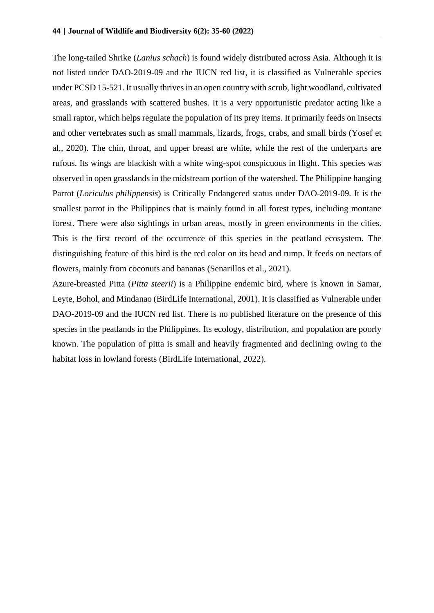The long-tailed Shrike (*Lanius schach*) is found widely distributed across Asia. Although it is not listed under DAO-2019-09 and the IUCN red list, it is classified as Vulnerable species under PCSD 15-521. It usually thrives in an open country with scrub, light woodland, cultivated areas, and grasslands with scattered bushes. It is a very opportunistic predator acting like a small raptor, which helps regulate the population of its prey items. It primarily feeds on insects and other vertebrates such as small mammals, lizards, frogs, crabs, and small birds (Yosef et al., 2020). The chin, throat, and upper breast are white, while the rest of the underparts are rufous. Its wings are blackish with a white wing-spot conspicuous in flight. This species was observed in open grasslands in the midstream portion of the watershed. The Philippine hanging Parrot (*Loriculus philippensis*) is Critically Endangered status under DAO-2019-09. It is the smallest parrot in the Philippines that is mainly found in all forest types, including montane forest. There were also sightings in urban areas, mostly in green environments in the cities. This is the first record of the occurrence of this species in the peatland ecosystem. The distinguishing feature of this bird is the red color on its head and rump. It feeds on nectars of flowers, mainly from coconuts and bananas (Senarillos et al., 2021).

Azure-breasted Pitta (*Pitta steerii*) is a Philippine endemic bird, where is known in Samar, Leyte, Bohol, and Mindanao (BirdLife International, 2001). It is classified as Vulnerable under DAO-2019-09 and the IUCN red list. There is no published literature on the presence of this species in the peatlands in the Philippines. Its ecology, distribution, and population are poorly known. The population of pitta is small and heavily fragmented and declining owing to the habitat loss in lowland forests (BirdLife International, 2022).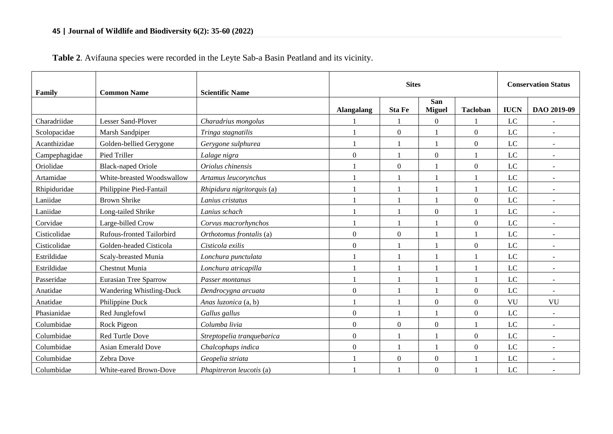| Family        | <b>Common Name</b>           | <b>Scientific Name</b>     | <b>Sites</b>      |                  |                      |                  | <b>Conservation Status</b> |                          |
|---------------|------------------------------|----------------------------|-------------------|------------------|----------------------|------------------|----------------------------|--------------------------|
|               |                              |                            | <b>Alangalang</b> | <b>Sta Fe</b>    | San<br><b>Miguel</b> | <b>Tacloban</b>  | <b>IUCN</b>                | DAO 2019-09              |
| Charadriidae  | Lesser Sand-Plover           | Charadrius mongolus        |                   |                  | $\overline{0}$       |                  | LC                         |                          |
| Scolopacidae  | Marsh Sandpiper              | Tringa stagnatilis         |                   | $\boldsymbol{0}$ |                      | $\boldsymbol{0}$ | $_{\rm LC}$                | ٠                        |
| Acanthizidae  | Golden-bellied Gerygone      | Gerygone sulphurea         |                   |                  |                      | $\boldsymbol{0}$ | LC                         | $\overline{a}$           |
| Campephagidae | Pied Triller                 | Lalage nigra               | $\theta$          |                  | $\Omega$             |                  | LC                         | $\sim$                   |
| Oriolidae     | <b>Black-naped Oriole</b>    | Oriolus chinensis          |                   | $\Omega$         |                      | $\Omega$         | LC                         |                          |
| Artamidae     | White-breasted Woodswallow   | Artamus leucorynchus       |                   |                  |                      |                  | LC                         | $\overline{\phantom{a}}$ |
| Rhipiduridae  | Philippine Pied-Fantail      | Rhipidura nigritorquis (a) |                   |                  |                      |                  | ${\rm LC}$                 | ٠                        |
| Laniidae      | <b>Brown Shrike</b>          | Lanius cristatus           |                   |                  |                      | $\boldsymbol{0}$ | LC                         | ÷                        |
| Laniidae      | Long-tailed Shrike           | Lanius schach              |                   |                  | $\Omega$             |                  | LC                         |                          |
| Corvidae      | Large-billed Crow            | Corvus macrorhynchos       |                   |                  |                      | $\overline{0}$   | LC                         | $\blacksquare$           |
| Cisticolidae  | Rufous-fronted Tailorbird    | Orthotomus frontalis (a)   | $\Omega$          | $\boldsymbol{0}$ |                      |                  | LC                         | $\sim$                   |
| Cisticolidae  | Golden-headed Cisticola      | Cisticola exilis           | $\Omega$          |                  |                      | $\boldsymbol{0}$ | LC                         |                          |
| Estrildidae   | Scaly-breasted Munia         | Lonchura punctulata        |                   |                  |                      |                  | LC                         | $\overline{\phantom{a}}$ |
| Estrildidae   | <b>Chestnut Munia</b>        | Lonchura atricapilla       |                   |                  |                      |                  | LC                         |                          |
| Passeridae    | <b>Eurasian Tree Sparrow</b> | Passer montanus            |                   |                  |                      |                  | $_{\rm LC}$                | ٠                        |
| Anatidae      | Wandering Whistling-Duck     | Dendrocygna arcuata        | $\overline{0}$    |                  |                      | $\boldsymbol{0}$ | LC                         | $\overline{\phantom{a}}$ |
| Anatidae      | Philippine Duck              | Anas luzonica (a, b)       |                   |                  | $\Omega$             | $\boldsymbol{0}$ | VU                         | VU                       |
| Phasianidae   | Red Junglefowl               | Gallus gallus              | $\Omega$          |                  |                      | $\Omega$         | LC                         | $\sim$                   |
| Columbidae    | Rock Pigeon                  | Columba livia              | $\theta$          | $\Omega$         | $\theta$             |                  | LC                         |                          |
| Columbidae    | Red Turtle Dove              | Streptopelia tranquebarica | $\boldsymbol{0}$  |                  |                      | $\boldsymbol{0}$ | LC                         | $\blacksquare$           |
| Columbidae    | <b>Asian Emerald Dove</b>    | Chalcophaps indica         | $\overline{0}$    |                  |                      | $\boldsymbol{0}$ | $_{\rm LC}$                | $\blacksquare$           |
| Columbidae    | Zebra Dove                   | Geopelia striata           |                   | $\boldsymbol{0}$ | $\Omega$             |                  | LC                         |                          |
| Columbidae    | White-eared Brown-Dove       | Phapitreron leucotis (a)   |                   |                  | $\Omega$             |                  | LC                         |                          |

**Table 2**. Avifauna species were recorded in the Leyte Sab-a Basin Peatland and its vicinity.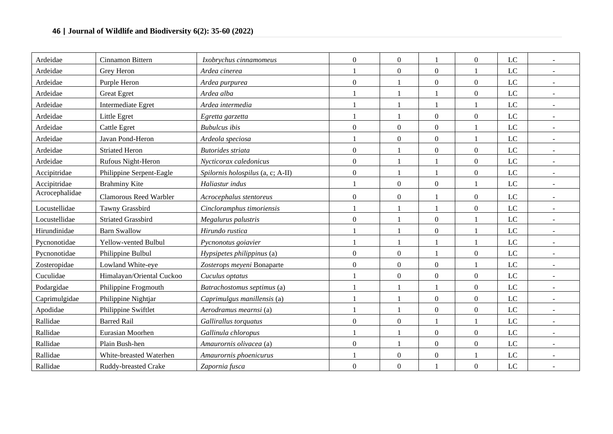| Ardeidae       | Cinnamon Bittern              | Ixobrychus cinnamomeus            | $\overline{0}$   | $\mathbf{0}$     |                  | $\theta$         | LC          |                          |
|----------------|-------------------------------|-----------------------------------|------------------|------------------|------------------|------------------|-------------|--------------------------|
| Ardeidae       | Grey Heron                    | Ardea cinerea                     |                  | $\boldsymbol{0}$ | $\boldsymbol{0}$ |                  | $_{\rm LC}$ | $\overline{\phantom{a}}$ |
| Ardeidae       | Purple Heron                  | Ardea purpurea                    | $\theta$         |                  | $\Omega$         | $\Omega$         | LC          |                          |
| Ardeidae       | <b>Great Egret</b>            | Ardea alba                        |                  |                  |                  | $\overline{0}$   | $_{\rm LC}$ | $\overline{\phantom{a}}$ |
| Ardeidae       | <b>Intermediate Egret</b>     | Ardea intermedia                  |                  |                  |                  | 1                | LC          | $\sim$                   |
| Ardeidae       | Little Egret                  | Egretta garzetta                  |                  |                  | $\boldsymbol{0}$ | $\overline{0}$   | LC          |                          |
| Ardeidae       | <b>Cattle Egret</b>           | <b>Bubulcus</b> ibis              | $\boldsymbol{0}$ | $\boldsymbol{0}$ | $\boldsymbol{0}$ |                  | $_{\rm LC}$ |                          |
| Ardeidae       | Javan Pond-Heron              | Ardeola speciosa                  |                  | $\boldsymbol{0}$ | $\boldsymbol{0}$ |                  | $\rm LC$    | $\blacksquare$           |
| Ardeidae       | <b>Striated Heron</b>         | Butorides striata                 | $\boldsymbol{0}$ |                  | $\boldsymbol{0}$ | $\overline{0}$   | LC          |                          |
| Ardeidae       | Rufous Night-Heron            | Nycticorax caledonicus            | $\overline{0}$   |                  |                  | $\theta$         | $_{\rm LC}$ |                          |
| Accipitridae   | Philippine Serpent-Eagle      | Spilornis holospilus (a, c; A-II) | $\boldsymbol{0}$ |                  |                  | $\overline{0}$   | $\rm LC$    | $\blacksquare$           |
| Accipitridae   | <b>Brahminy Kite</b>          | Haliastur indus                   |                  | $\boldsymbol{0}$ | $\mathbf{0}$     |                  | $_{\rm LC}$ | $\overline{a}$           |
| Acrocephalidae | <b>Clamorous Reed Warbler</b> | Acrocephalus stentoreus           | $\boldsymbol{0}$ | $\boldsymbol{0}$ |                  | $\boldsymbol{0}$ | $_{\rm LC}$ |                          |
| Locustellidae  | Tawny Grassbird               | Cincloramphus timoriensis         |                  |                  |                  | $\overline{0}$   | $\rm LC$    |                          |
| Locustellidae  | <b>Striated Grassbird</b>     | Megalurus palustris               | $\theta$         |                  | $\boldsymbol{0}$ |                  | $_{\rm LC}$ | $\blacksquare$           |
| Hirundinidae   | <b>Barn Swallow</b>           | Hirundo rustica                   |                  |                  | $\boldsymbol{0}$ |                  | LC          | $\sim$                   |
| Pycnonotidae   | Yellow-vented Bulbul          | Pycnonotus goiavier               |                  |                  |                  |                  | $_{\rm LC}$ | $\overline{a}$           |
| Pycnonotidae   | Philippine Bulbul             | Hypsipetes philippinus (a)        | $\theta$         | $\overline{0}$   |                  | $\overline{0}$   | $_{\rm LC}$ | $\blacksquare$           |
| Zosteropidae   | Lowland White-eye             | Zosterops meyeni Bonaparte        | $\boldsymbol{0}$ | $\overline{0}$   | $\boldsymbol{0}$ |                  | $_{\rm LC}$ | $\sim$                   |
| Cuculidae      | Himalayan/Oriental Cuckoo     | Cuculus optatus                   |                  | $\overline{0}$   | $\boldsymbol{0}$ | $\overline{0}$   | $\rm LC$    | $\blacksquare$           |
| Podargidae     | Philippine Frogmouth          | Batrachostomus septimus (a)       |                  |                  |                  | $\overline{0}$   | LC          |                          |
| Caprimulgidae  | Philippine Nightjar           | Caprimulgus manillensis (a)       |                  |                  | $\boldsymbol{0}$ | $\overline{0}$   | $_{\rm LC}$ | $\blacksquare$           |
| Apodidae       | Philippine Swiftlet           | Aerodramus mearnsi (a)            |                  |                  | $\mathbf{0}$     | $\overline{0}$   | $\rm LC$    | $\overline{a}$           |
| Rallidae       | <b>Barred Rail</b>            | Gallirallus torquatus             | $\overline{0}$   | $\boldsymbol{0}$ |                  |                  | LC          | $\overline{a}$           |
| Rallidae       | Eurasian Moorhen              | Gallinula chloropus               |                  |                  | $\overline{0}$   | $\overline{0}$   | $_{\rm LC}$ | $\blacksquare$           |
| Rallidae       | Plain Bush-hen                | Amaurornis olivacea (a)           | $\overline{0}$   |                  | $\boldsymbol{0}$ | $\overline{0}$   | $\rm LC$    | $\blacksquare$           |
| Rallidae       | White-breasted Waterhen       | Amaurornis phoenicurus            |                  | $\boldsymbol{0}$ | $\boldsymbol{0}$ |                  | LC          |                          |
| Rallidae       | Ruddy-breasted Crake          | Zapornia fusca                    | $\overline{0}$   | $\boldsymbol{0}$ |                  | $\overline{0}$   | LC          |                          |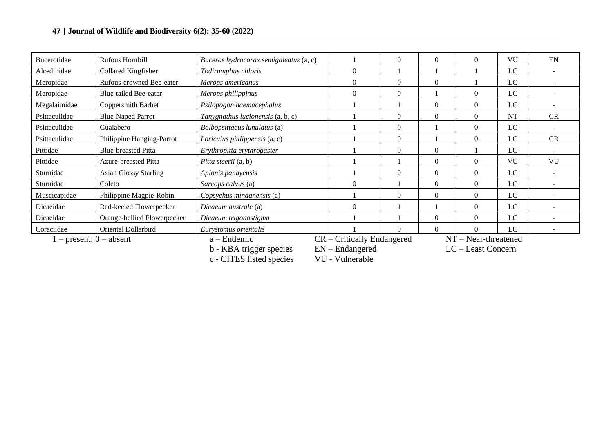| Bucerotidae                 | Rufous Hornbill              | Buceros hydrocorax semigaleatus (a, c) |                            | 0 | $\Omega$           | $\Omega$           | VU          | EN        |
|-----------------------------|------------------------------|----------------------------------------|----------------------------|---|--------------------|--------------------|-------------|-----------|
| Alcedinidae                 | Collared Kingfisher          | Todiramphus chloris                    | $\Omega$                   |   |                    |                    | $_{\rm LC}$ |           |
| Meropidae                   | Rufous-crowned Bee-eater     | Merops americanus                      | $\Omega$                   | 0 | $\Omega$           |                    | LC          |           |
| Meropidae                   | <b>Blue-tailed Bee-eater</b> | Merops philippinus                     | 0                          | 0 |                    | $\Omega$           | LC          |           |
| Megalaimidae                | Coppersmith Barbet           | Psilopogon haemacephalus               |                            |   | $\Omega$           | $\Omega$           | LC          |           |
| Psittaculidae               | <b>Blue-Naped Parrot</b>     | Tanygnathus lucionensis (a, b, c)      |                            | 0 | $\Omega$           | $\Omega$           | <b>NT</b>   | <b>CR</b> |
| Psittaculidae               | Guaiabero                    | Bolbopsittacus lunulatus (a)           |                            | 0 |                    | $\Omega$           | LC          |           |
| Psittaculidae               | Philippine Hanging-Parrot    | Loriculus philippensis (a, c)          |                            | 0 |                    | $\Omega$           | LC          | CR        |
| Pittidae                    | <b>Blue-breasted Pitta</b>   | Erythropitta erythrogaster             |                            | 0 | $\Omega$           |                    | LC          |           |
| Pittidae                    | Azure-breasted Pitta         | Pitta steerii (a, b)                   |                            |   | $\Omega$           | $\Omega$           | VU          | VU        |
| Sturnidae                   | <b>Asian Glossy Starling</b> | Aplonis panayensis                     |                            | 0 | $\Omega$           | $\Omega$           | LC          |           |
| Sturnidae                   | Coleto                       | Sarcops calvus (a)                     | 0                          |   | $\Omega$           | $\Omega$           | LC          |           |
| Muscicapidae                | Philippine Magpie-Robin      | Copsychus mindanensis (a)              |                            | 0 | $\Omega$           | $\Omega$           | $_{\rm LC}$ |           |
| Dicaeidae                   | Red-keeled Flowerpecker      | Dicaeum australe (a)                   | $\theta$                   |   |                    | $\Omega$           | LC          |           |
| Dicaeidae                   | Orange-bellied Flowerpecker  | Dicaeum trigonostigma                  |                            |   | $\overline{0}$     | $\Omega$           | LC          |           |
| Coraciidae                  | Oriental Dollarbird          | Eurystomus orientalis                  |                            | 0 | $\Omega$           | $\Omega$           | LC          |           |
| $1$ – present; $0$ – absent |                              | $a$ – Endemic                          | CR – Critically Endangered |   | $NT - Near-thread$ |                    |             |           |
|                             |                              | b - KBA trigger species                | $EN - Endanged$            |   |                    | LC – Least Concern |             |           |

b - KBA trigger species EN – Endangered LC – Least Concern

c - CITES listed species VU - Vulnerable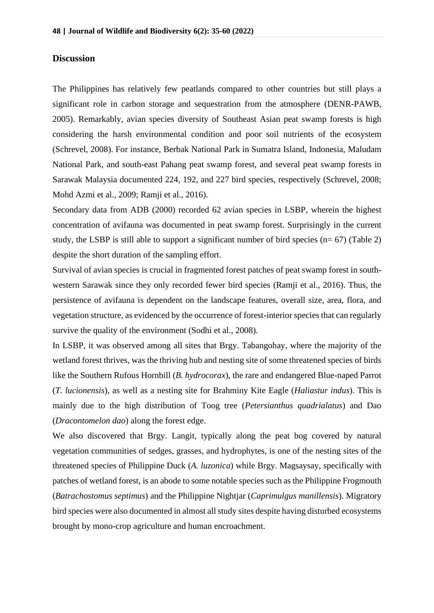#### **Discussion**

The Philippines has relatively few peatlands compared to other countries but still plays a significant role in carbon storage and sequestration from the atmosphere (DENR-PAWB, 2005). Remarkably, avian species diversity of Southeast Asian peat swamp forests is high considering the harsh environmental condition and poor soil nutrients of the ecosystem (Schrevel, 2008). For instance, Berbak National Park in Sumatra Island, Indonesia, Maludam National Park, and south-east Pahang peat swamp forest, and several peat swamp forests in Sarawak Malaysia documented 224, 192, and 227 bird species, respectively (Schrevel, 2008; Mohd Azmi et al., 2009; Ramji et al., 2016).

Secondary data from ADB (2000) recorded 62 avian species in LSBP, wherein the highest concentration of avifauna was documented in peat swamp forest. Surprisingly in the current study, the LSBP is still able to support a significant number of bird species ( $n= 67$ ) (Table 2) despite the short duration of the sampling effort.

Survival of avian species is crucial in fragmented forest patches of peat swamp forest in southwestern Sarawak since they only recorded fewer bird species (Ramji et al., 2016). Thus, the persistence of avifauna is dependent on the landscape features, overall size, area, flora, and vegetation structure, as evidenced by the occurrence of forest-interior species that can regularly survive the quality of the environment (Sodhi et al., 2008).

In LSBP, it was observed among all sites that Brgy. Tabangohay, where the majority of the wetland forest thrives, was the thriving hub and nesting site of some threatened species of birds like the Southern Rufous Hornbill (*B. hydrocorax*), the rare and endangered Blue-naped Parrot (*T. lucionensis*), as well as a nesting site for Brahminy Kite Eagle (*Haliastur indus*). This is mainly due to the high distribution of Toog tree (*Petersianthus quadrialatus*) and Dao (*Dracontomelon dao*) along the forest edge.

We also discovered that Brgy. Langit, typically along the peat bog covered by natural vegetation communities of sedges, grasses, and hydrophytes, is one of the nesting sites of the threatened species of Philippine Duck (*A. luzonica*) while Brgy. Magsaysay, specifically with patches of wetland forest, is an abode to some notable species such as the Philippine Frogmouth (*Batrachostomus septimus*) and the Philippine Nightjar (*Caprimulgus manillensis*). Migratory bird species were also documented in almost all study sites despite having disturbed ecosystems brought by mono-crop agriculture and human encroachment.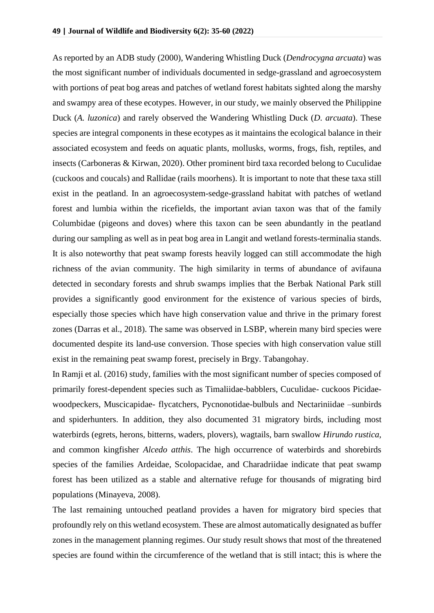As reported by an ADB study (2000), Wandering Whistling Duck (*Dendrocygna arcuata*) was the most significant number of individuals documented in sedge-grassland and agroecosystem with portions of peat bog areas and patches of wetland forest habitats sighted along the marshy and swampy area of these ecotypes. However, in our study, we mainly observed the Philippine Duck (*A. luzonica*) and rarely observed the Wandering Whistling Duck (*D. arcuata*). These species are integral components in these ecotypes as it maintains the ecological balance in their associated ecosystem and feeds on aquatic plants, mollusks, worms, frogs, fish, reptiles, and insects (Carboneras & Kirwan, 2020). Other prominent bird taxa recorded belong to Cuculidae (cuckoos and coucals) and Rallidae (rails moorhens). It is important to note that these taxa still exist in the peatland. In an agroecosystem-sedge-grassland habitat with patches of wetland forest and lumbia within the ricefields, the important avian taxon was that of the family Columbidae (pigeons and doves) where this taxon can be seen abundantly in the peatland during our sampling as well as in peat bog area in Langit and wetland forests-terminalia stands. It is also noteworthy that peat swamp forests heavily logged can still accommodate the high richness of the avian community. The high similarity in terms of abundance of avifauna detected in secondary forests and shrub swamps implies that the Berbak National Park still provides a significantly good environment for the existence of various species of birds, especially those species which have high conservation value and thrive in the primary forest zones (Darras et al., 2018). The same was observed in LSBP, wherein many bird species were documented despite its land-use conversion. Those species with high conservation value still exist in the remaining peat swamp forest, precisely in Brgy. Tabangohay.

In Ramji et al. (2016) study, families with the most significant number of species composed of primarily forest-dependent species such as Timaliidae-babblers, Cuculidae- cuckoos Picidaewoodpeckers, Muscicapidae- flycatchers, Pycnonotidae-bulbuls and Nectariniidae –sunbirds and spiderhunters. In addition, they also documented 31 migratory birds, including most waterbirds (egrets, herons, bitterns, waders, plovers), wagtails, barn swallow *Hirundo rustica,* and common kingfisher *Alcedo atthis*. The high occurrence of waterbirds and shorebirds species of the families Ardeidae, Scolopacidae, and Charadriidae indicate that peat swamp forest has been utilized as a stable and alternative refuge for thousands of migrating bird populations (Minayeva, 2008).

The last remaining untouched peatland provides a haven for migratory bird species that profoundly rely on this wetland ecosystem. These are almost automatically designated as buffer zones in the management planning regimes. Our study result shows that most of the threatened species are found within the circumference of the wetland that is still intact; this is where the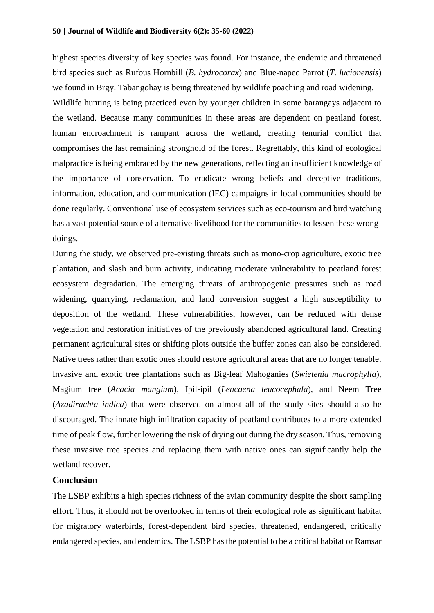highest species diversity of key species was found. For instance, the endemic and threatened bird species such as Rufous Hornbill (*B. hydrocorax*) and Blue-naped Parrot (*T. lucionensis*) we found in Brgy. Tabangohay is being threatened by wildlife poaching and road widening. Wildlife hunting is being practiced even by younger children in some barangays adjacent to the wetland. Because many communities in these areas are dependent on peatland forest, human encroachment is rampant across the wetland, creating tenurial conflict that compromises the last remaining stronghold of the forest. Regrettably, this kind of ecological malpractice is being embraced by the new generations, reflecting an insufficient knowledge of the importance of conservation. To eradicate wrong beliefs and deceptive traditions, information, education, and communication (IEC) campaigns in local communities should be done regularly. Conventional use of ecosystem services such as eco-tourism and bird watching has a vast potential source of alternative livelihood for the communities to lessen these wrongdoings.

During the study, we observed pre-existing threats such as mono-crop agriculture, exotic tree plantation, and slash and burn activity, indicating moderate vulnerability to peatland forest ecosystem degradation. The emerging threats of anthropogenic pressures such as road widening, quarrying, reclamation, and land conversion suggest a high susceptibility to deposition of the wetland. These vulnerabilities, however, can be reduced with dense vegetation and restoration initiatives of the previously abandoned agricultural land. Creating permanent agricultural sites or shifting plots outside the buffer zones can also be considered. Native trees rather than exotic ones should restore agricultural areas that are no longer tenable. Invasive and exotic tree plantations such as Big-leaf Mahoganies (*Swietenia macrophylla*), Magium tree (*Acacia mangium*), Ipil-ipil (*Leucaena leucocephala*), and Neem Tree (*Azadirachta indica*) that were observed on almost all of the study sites should also be discouraged. The innate high infiltration capacity of peatland contributes to a more extended time of peak flow, further lowering the risk of drying out during the dry season. Thus, removing these invasive tree species and replacing them with native ones can significantly help the wetland recover.

#### **Conclusion**

The LSBP exhibits a high species richness of the avian community despite the short sampling effort. Thus, it should not be overlooked in terms of their ecological role as significant habitat for migratory waterbirds, forest-dependent bird species, threatened, endangered, critically endangered species, and endemics. The LSBP has the potential to be a critical habitat or Ramsar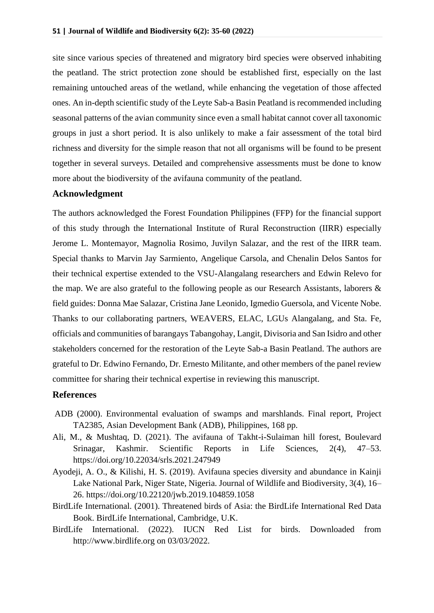site since various species of threatened and migratory bird species were observed inhabiting the peatland. The strict protection zone should be established first, especially on the last remaining untouched areas of the wetland, while enhancing the vegetation of those affected ones. An in-depth scientific study of the Leyte Sab-a Basin Peatland is recommended including seasonal patterns of the avian community since even a small habitat cannot cover all taxonomic groups in just a short period. It is also unlikely to make a fair assessment of the total bird richness and diversity for the simple reason that not all organisms will be found to be present together in several surveys. Detailed and comprehensive assessments must be done to know more about the biodiversity of the avifauna community of the peatland.

#### **Acknowledgment**

The authors acknowledged the Forest Foundation Philippines (FFP) for the financial support of this study through the International Institute of Rural Reconstruction (IIRR) especially Jerome L. Montemayor, Magnolia Rosimo, Juvilyn Salazar, and the rest of the IIRR team. Special thanks to Marvin Jay Sarmiento, Angelique Carsola, and Chenalin Delos Santos for their technical expertise extended to the VSU-Alangalang researchers and Edwin Relevo for the map. We are also grateful to the following people as our Research Assistants, laborers & field guides: Donna Mae Salazar, Cristina Jane Leonido, Igmedio Guersola, and Vicente Nobe. Thanks to our collaborating partners, WEAVERS, ELAC, LGUs Alangalang, and Sta. Fe, officials and communities of barangays Tabangohay, Langit, Divisoria and San Isidro and other stakeholders concerned for the restoration of the Leyte Sab-a Basin Peatland. The authors are grateful to Dr. Edwino Fernando, Dr. Ernesto Militante, and other members of the panel review committee for sharing their technical expertise in reviewing this manuscript.

#### **References**

- ADB (2000). Environmental evaluation of swamps and marshlands. Final report, Project TA2385, Asian Development Bank (ADB), Philippines, 168 pp.
- Ali, M., & Mushtaq, D. (2021). The avifauna of Takht-i-Sulaiman hill forest, Boulevard Srinagar, Kashmir. Scientific Reports in Life Sciences, 2(4), 47–53. https://doi.org/10.22034/srls.2021.247949
- Ayodeji, A. O., & Kilishi, H. S. (2019). Avifauna species diversity and abundance in Kainji Lake National Park, Niger State, Nigeria. Journal of Wildlife and Biodiversity, 3(4), 16– 26. https://doi.org/10.22120/jwb.2019.104859.1058
- BirdLife International. (2001). Threatened birds of Asia: the BirdLife International Red Data Book. BirdLife International, Cambridge, U.K.
- BirdLife International. (2022). IUCN Red List for birds. Downloaded from http://www.birdlife.org on 03/03/2022.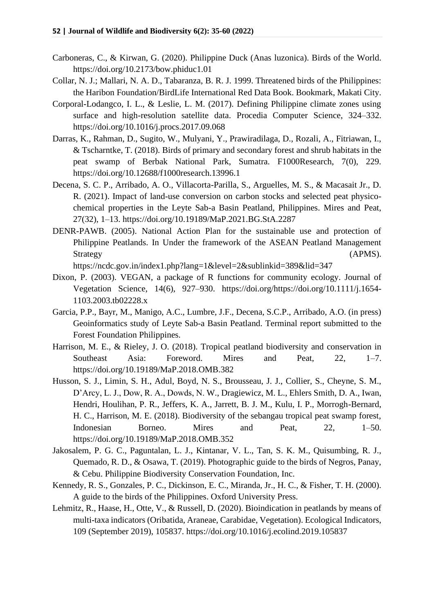- Carboneras, C., & Kirwan, G. (2020). Philippine Duck (Anas luzonica). Birds of the World. https://doi.org/10.2173/bow.phiduc1.01
- Collar, N. J.; Mallari, N. A. D., Tabaranza, B. R. J. 1999. Threatened birds of the Philippines: the Haribon Foundation/BirdLife International Red Data Book. Bookmark, Makati City.
- Corporal-Lodangco, I. L., & Leslie, L. M. (2017). Defining Philippine climate zones using surface and high-resolution satellite data. Procedia Computer Science, 324–332. https://doi.org/10.1016/j.procs.2017.09.068
- Darras, K., Rahman, D., Sugito, W., Mulyani, Y., Prawiradilaga, D., Rozali, A., Fitriawan, I., & Tscharntke, T. (2018). Birds of primary and secondary forest and shrub habitats in the peat swamp of Berbak National Park, Sumatra. F1000Research, 7(0), 229. https://doi.org/10.12688/f1000research.13996.1
- Decena, S. C. P., Arribado, A. O., Villacorta-Parilla, S., Arguelles, M. S., & Macasait Jr., D. R. (2021). Impact of land-use conversion on carbon stocks and selected peat physicochemical properties in the Leyte Sab-a Basin Peatland, Philippines. Mires and Peat, 27(32), 1–13. https://doi.org/10.19189/MaP.2021.BG.StA.2287
- DENR-PAWB. (2005). National Action Plan for the sustainable use and protection of Philippine Peatlands. In Under the framework of the ASEAN Peatland Management Strategy (APMS).

https://ncdc.gov.in/index1.php?lang=1&level=2&sublinkid=389&lid=347

- Dixon, P. (2003). VEGAN, a package of R functions for community ecology. Journal of Vegetation Science, 14(6), 927–930. https://doi.org/https://doi.org/10.1111/j.1654- 1103.2003.tb02228.x
- Garcia, P.P., Bayr, M., Manigo, A.C., Lumbre, J.F., Decena, S.C.P., Arribado, A.O. (in press) Geoinformatics study of Leyte Sab-a Basin Peatland. Terminal report submitted to the Forest Foundation Philippines.
- Harrison, M. E., & Rieley, J. O. (2018). Tropical peatland biodiversity and conservation in Southeast Asia: Foreword. Mires and Peat, 22, 1–7. https://doi.org/10.19189/MaP.2018.OMB.382
- Husson, S. J., Limin, S. H., Adul, Boyd, N. S., Brousseau, J. J., Collier, S., Cheyne, S. M., D'Arcy, L. J., Dow, R. A., Dowds, N. W., Dragiewicz, M. L., Ehlers Smith, D. A., Iwan, Hendri, Houlihan, P. R., Jeffers, K. A., Jarrett, B. J. M., Kulu, I. P., Morrogh-Bernard, H. C., Harrison, M. E. (2018). Biodiversity of the sebangau tropical peat swamp forest, Indonesian Borneo. Mires and Peat, 22, 1–50. https://doi.org/10.19189/MaP.2018.OMB.352
- Jakosalem, P. G. C., Paguntalan, L. J., Kintanar, V. L., Tan, S. K. M., Quisumbing, R. J., Quemado, R. D., & Osawa, T. (2019). Photographic guide to the birds of Negros, Panay, & Cebu. Philippine Biodiversity Conservation Foundation, Inc.
- Kennedy, R. S., Gonzales, P. C., Dickinson, E. C., Miranda, Jr., H. C., & Fisher, T. H. (2000). A guide to the birds of the Philippines. Oxford University Press.
- Lehmitz, R., Haase, H., Otte, V., & Russell, D. (2020). Bioindication in peatlands by means of multi-taxa indicators (Oribatida, Araneae, Carabidae, Vegetation). Ecological Indicators, 109 (September 2019), 105837. https://doi.org/10.1016/j.ecolind.2019.105837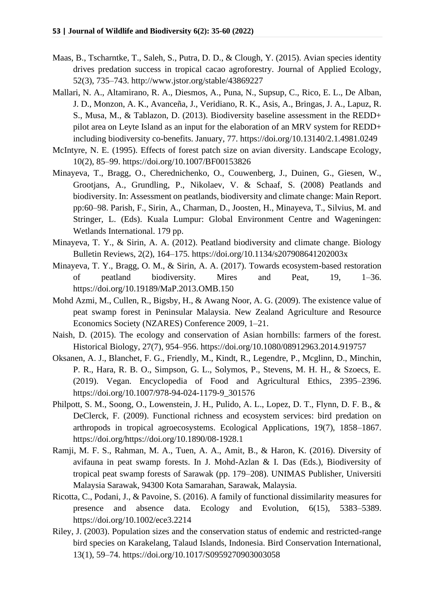- Maas, B., Tscharntke, T., Saleh, S., Putra, D. D., & Clough, Y. (2015). Avian species identity drives predation success in tropical cacao agroforestry. Journal of Applied Ecology, 52(3), 735–743. http://www.jstor.org/stable/43869227
- Mallari, N. A., Altamirano, R. A., Diesmos, A., Puna, N., Supsup, C., Rico, E. L., De Alban, J. D., Monzon, A. K., Avanceña, J., Veridiano, R. K., Asis, A., Bringas, J. A., Lapuz, R. S., Musa, M., & Tablazon, D. (2013). Biodiversity baseline assessment in the REDD+ pilot area on Leyte Island as an input for the elaboration of an MRV system for REDD+ including biodiversity co-benefits. January, 77. https://doi.org/10.13140/2.1.4981.0249
- McIntyre, N. E. (1995). Effects of forest patch size on avian diversity. Landscape Ecology, 10(2), 85–99. https://doi.org/10.1007/BF00153826
- Minayeva, T., Bragg, O., Cherednichenko, O., Couwenberg, J., Duinen, G., Giesen, W., Grootjans, A., Grundling, P., Nikolaev, V. & Schaaf, S. (2008) Peatlands and biodiversity. In: Assessment on peatlands, biodiversity and climate change: Main Report. pp:60–98. Parish, F., Sirin, A., Charman, D., Joosten, H., Minayeva, T., Silvius, M. and Stringer, L. (Eds). Kuala Lumpur: Global Environment Centre and Wageningen: Wetlands International. 179 pp.
- Minayeva, T. Y., & Sirin, A. A. (2012). Peatland biodiversity and climate change. Biology Bulletin Reviews, 2(2), 164–175. https://doi.org/10.1134/s207908641202003x
- Minayeva, T. Y., Bragg, O. M., & Sirin, A. A. (2017). Towards ecosystem-based restoration of peatland biodiversity. Mires and Peat, 19, 1–36. https://doi.org/10.19189/MaP.2013.OMB.150
- Mohd Azmi, M., Cullen, R., Bigsby, H., & Awang Noor, A. G. (2009). The existence value of peat swamp forest in Peninsular Malaysia. New Zealand Agriculture and Resource Economics Society (NZARES) Conference 2009, 1–21.
- Naish, D. (2015). The ecology and conservation of Asian hornbills: farmers of the forest. Historical Biology, 27(7), 954–956. https://doi.org/10.1080/08912963.2014.919757
- Oksanen, A. J., Blanchet, F. G., Friendly, M., Kindt, R., Legendre, P., Mcglinn, D., Minchin, P. R., Hara, R. B. O., Simpson, G. L., Solymos, P., Stevens, M. H. H., & Szoecs, E. (2019). Vegan. Encyclopedia of Food and Agricultural Ethics, 2395–2396. https://doi.org/10.1007/978-94-024-1179-9\_301576
- Philpott, S. M., Soong, O., Lowenstein, J. H., Pulido, A. L., Lopez, D. T., Flynn, D. F. B., & DeClerck, F. (2009). Functional richness and ecosystem services: bird predation on arthropods in tropical agroecosystems. Ecological Applications, 19(7), 1858–1867. https://doi.org/https://doi.org/10.1890/08-1928.1
- Ramji, M. F. S., Rahman, M. A., Tuen, A. A., Amit, B., & Haron, K. (2016). Diversity of avifauna in peat swamp forests. In J. Mohd-Azlan & I. Das (Eds.), Biodiversity of tropical peat swamp forests of Sarawak (pp. 179–208). UNIMAS Publisher, Universiti Malaysia Sarawak, 94300 Kota Samarahan, Sarawak, Malaysia.
- Ricotta, C., Podani, J., & Pavoine, S. (2016). A family of functional dissimilarity measures for presence and absence data. Ecology and Evolution, 6(15), 5383–5389. https://doi.org/10.1002/ece3.2214
- Riley, J. (2003). Population sizes and the conservation status of endemic and restricted-range bird species on Karakelang, Talaud Islands, Indonesia. Bird Conservation International, 13(1), 59–74. https://doi.org/10.1017/S0959270903003058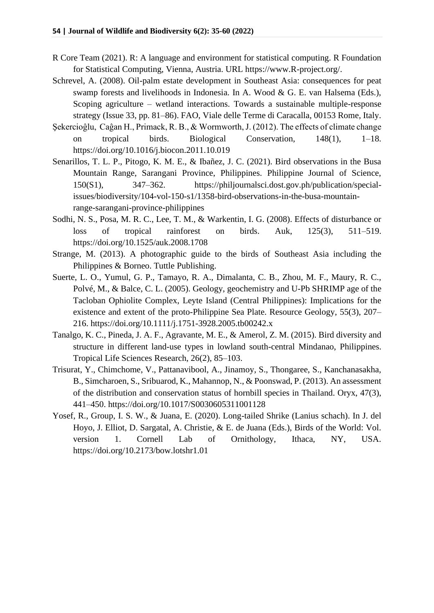- R Core Team (2021). R: A language and environment for statistical computing. R Foundation for Statistical Computing, Vienna, Austria. URL https://www.R-project.org/.
- Schrevel, A. (2008). Oil-palm estate development in Southeast Asia: consequences for peat swamp forests and livelihoods in Indonesia. In A. Wood & G. E. van Halsema (Eds.), Scoping agriculture – wetland interactions. Towards a sustainable multiple-response strategy (Issue 33, pp. 81–86). FAO, Viale delle Terme di Caracalla, 00153 Rome, Italy.
- Şekercioĝlu, Caĝan H., Primack, R. B., & Wormworth, J. (2012). The effects of climate change on tropical birds. Biological Conservation, 148(1), 1–18. https://doi.org/10.1016/j.biocon.2011.10.019
- Senarillos, T. L. P., Pitogo, K. M. E., & Ibañez, J. C. (2021). Bird observations in the Busa Mountain Range, Sarangani Province, Philippines. Philippine Journal of Science, 150(S1), 347–362. https://philjournalsci.dost.gov.ph/publication/specialissues/biodiversity/104-vol-150-s1/1358-bird-observations-in-the-busa-mountainrange-sarangani-province-philippines
- Sodhi, N. S., Posa, M. R. C., Lee, T. M., & Warkentin, I. G. (2008). Effects of disturbance or loss of tropical rainforest on birds. Auk, 125(3), 511–519. https://doi.org/10.1525/auk.2008.1708
- Strange, M. (2013). A photographic guide to the birds of Southeast Asia including the Philippines & Borneo. Tuttle Publishing.
- Suerte, L. O., Yumul, G. P., Tamayo, R. A., Dimalanta, C. B., Zhou, M. F., Maury, R. C., Polvé, M., & Balce, C. L. (2005). Geology, geochemistry and U-Pb SHRIMP age of the Tacloban Ophiolite Complex, Leyte Island (Central Philippines): Implications for the existence and extent of the proto-Philippine Sea Plate. Resource Geology, 55(3), 207– 216. https://doi.org/10.1111/j.1751-3928.2005.tb00242.x
- Tanalgo, K. C., Pineda, J. A. F., Agravante, M. E., & Amerol, Z. M. (2015). Bird diversity and structure in different land-use types in lowland south-central Mindanao, Philippines. Tropical Life Sciences Research, 26(2), 85–103.
- Trisurat, Y., Chimchome, V., Pattanavibool, A., Jinamoy, S., Thongaree, S., Kanchanasakha, B., Simcharoen, S., Sribuarod, K., Mahannop, N., & Poonswad, P. (2013). An assessment of the distribution and conservation status of hornbill species in Thailand. Oryx, 47(3), 441–450. https://doi.org/10.1017/S0030605311001128
- Yosef, R., Group, I. S. W., & Juana, E. (2020). Long-tailed Shrike (Lanius schach). In J. del Hoyo, J. Elliot, D. Sargatal, A. Christie, & E. de Juana (Eds.), Birds of the World: Vol. version 1. Cornell Lab of Ornithology, Ithaca, NY, USA. https://doi.org/10.2173/bow.lotshr1.01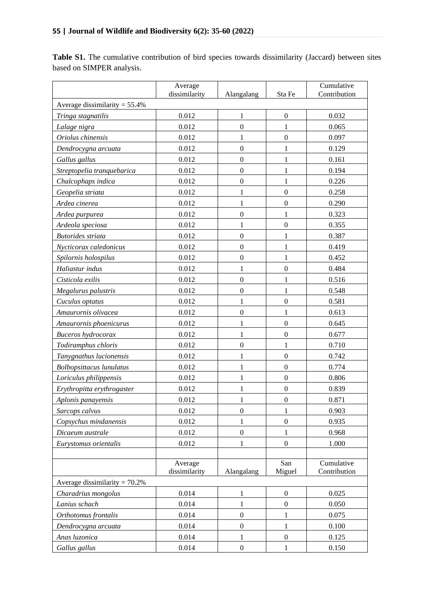|                                  | Average<br>dissimilarity | Alangalang       | Sta Fe           | Cumulative<br>Contribution |
|----------------------------------|--------------------------|------------------|------------------|----------------------------|
| Average dissimilarity = $55.4\%$ |                          |                  |                  |                            |
| Tringa stagnatilis               | 0.012                    | 1                | $\boldsymbol{0}$ | 0.032                      |
| Lalage nigra                     | 0.012                    | $\mathbf{0}$     | $\mathbf{1}$     | 0.065                      |
| Oriolus chinensis                | 0.012                    | 1                | $\overline{0}$   | 0.097                      |
| Dendrocygna arcuata              | 0.012                    | $\boldsymbol{0}$ | $\mathbf{1}$     | 0.129                      |
| Gallus gallus                    | 0.012                    | $\boldsymbol{0}$ | $\mathbf{1}$     | 0.161                      |
| Streptopelia tranquebarica       | 0.012                    | $\mathbf{0}$     | $\mathbf{1}$     | 0.194                      |
| Chalcophaps indica               | 0.012                    | $\boldsymbol{0}$ | $\mathbf{1}$     | 0.226                      |
| Geopelia striata                 | 0.012                    | 1                | $\overline{0}$   | 0.258                      |
| Ardea cinerea                    | 0.012                    | 1                | $\boldsymbol{0}$ | 0.290                      |
| Ardea purpurea                   | 0.012                    | $\mathbf{0}$     | $\mathbf{1}$     | 0.323                      |
| Ardeola speciosa                 | 0.012                    | 1                | $\boldsymbol{0}$ | 0.355                      |
| <b>Butorides</b> striata         | 0.012                    | $\boldsymbol{0}$ | $\mathbf{1}$     | 0.387                      |
| Nycticorax caledonicus           | 0.012                    | $\boldsymbol{0}$ | $\mathbf{1}$     | 0.419                      |
| Spilornis holospilus             | 0.012                    | $\mathbf{0}$     | $\mathbf{1}$     | 0.452                      |
| Haliastur indus                  | 0.012                    | 1                | $\boldsymbol{0}$ | 0.484                      |
| Cisticola exilis                 | 0.012                    | $\boldsymbol{0}$ | $\mathbf{1}$     | 0.516                      |
| Megalurus palustris              | 0.012                    | $\boldsymbol{0}$ | $\mathbf{1}$     | 0.548                      |
| Cuculus optatus                  | 0.012                    | 1                | $\overline{0}$   | 0.581                      |
| Amaurornis olivacea              | 0.012                    | $\boldsymbol{0}$ | $\mathbf{1}$     | 0.613                      |
| Amaurornis phoenicurus           | 0.012                    | 1                | $\boldsymbol{0}$ | 0.645                      |
| Buceros hydrocorax               | 0.012                    | 1                | $\boldsymbol{0}$ | 0.677                      |
| Todiramphus chloris              | 0.012                    | $\mathbf{0}$     | $\mathbf{1}$     | 0.710                      |
| Tanygnathus lucionensis          | 0.012                    | 1                | $\boldsymbol{0}$ | 0.742                      |
| <b>Bolbopsittacus lunulatus</b>  | 0.012                    | $\mathbf{1}$     | $\boldsymbol{0}$ | 0.774                      |
| Loriculus philippensis           | 0.012                    | $\mathbf{1}$     | $\boldsymbol{0}$ | 0.806                      |
| Erythropitta erythrogaster       | 0.012                    | 1                | $\boldsymbol{0}$ | 0.839                      |
| Aplonis panayensis               | 0.012                    | $\mathbf{1}$     | $\boldsymbol{0}$ | 0.871                      |
| Sarcops calvus                   | 0.012                    | $\boldsymbol{0}$ | 1                | 0.903                      |
| Copsychus mindanensis            | 0.012                    | 1                | $\overline{0}$   | 0.935                      |
| Dicaeum australe                 | 0.012                    | $\boldsymbol{0}$ | $\mathbf{1}$     | 0.968                      |
| Eurystomus orientalis            | 0.012                    | 1                | $\overline{0}$   | 1.000                      |
|                                  |                          |                  |                  |                            |
|                                  | Average<br>dissimilarity | Alangalang       | San<br>Miguel    | Cumulative<br>Contribution |
| Average dissimilarity = $70.2\%$ |                          |                  |                  |                            |
| Charadrius mongolus              | 0.014                    | 1                | $\boldsymbol{0}$ | 0.025                      |
| Lanius schach                    | 0.014                    | 1                | $\boldsymbol{0}$ | 0.050                      |
| Orthotomus frontalis             | 0.014                    | $\boldsymbol{0}$ | 1                | 0.075                      |
| Dendrocygna arcuata              | 0.014                    | $\boldsymbol{0}$ | 1                | 0.100                      |
| Anas luzonica                    | 0.014                    | 1                | $\boldsymbol{0}$ | 0.125                      |
| Gallus gallus                    | 0.014                    | $\boldsymbol{0}$ | $\mathbf{1}$     | 0.150                      |

Table S1. The cumulative contribution of bird species towards dissimilarity (Jaccard) between sites based on SIMPER analysis.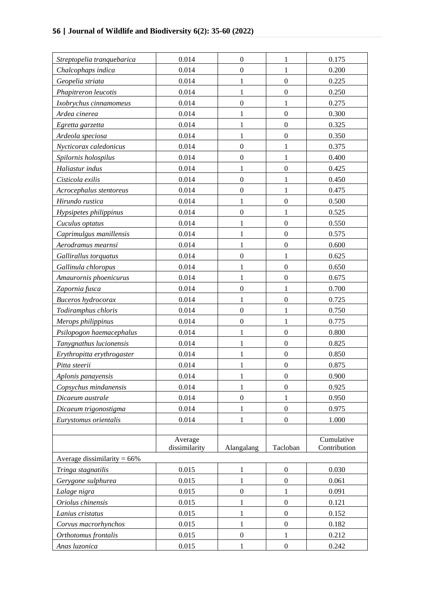| 0.014<br>$\boldsymbol{0}$<br>$\mathbf{1}$<br>Chalcophaps indica<br>0.200<br>$\boldsymbol{0}$<br>0.014<br>Geopelia striata<br>1<br>0.225<br>$\boldsymbol{0}$<br>0.014<br>$\mathbf{1}$<br>0.250<br>Phapitreron leucotis<br>$\boldsymbol{0}$<br>Ixobrychus cinnamomeus<br>0.014<br>$\mathbf{1}$<br>0.275<br>$\boldsymbol{0}$<br>0.014<br>Ardea cinerea<br>$\mathbf{1}$<br>0.300<br>$\boldsymbol{0}$<br>$\mathbf{1}$<br>0.014<br>0.325<br>Egretta garzetta<br>$\boldsymbol{0}$<br>0.014<br>$\mathbf{1}$<br>Ardeola speciosa<br>0.350<br>0.014<br>$\boldsymbol{0}$<br>Nycticorax caledonicus<br>$\mathbf{1}$<br>0.375<br>$\boldsymbol{0}$<br>$\mathbf{1}$<br>Spilornis holospilus<br>0.014<br>0.400<br>$\boldsymbol{0}$<br>0.014<br>$\mathbf{1}$<br>Haliastur indus<br>0.425<br>$\boldsymbol{0}$<br>0.014<br>$\mathbf{1}$<br>0.450<br>Cisticola exilis<br>0.014<br>$\boldsymbol{0}$<br>Acrocephalus stentoreus<br>$\mathbf{1}$<br>0.475<br>$\boldsymbol{0}$<br>0.014<br>1<br>0.500<br>Hirundo rustica<br>0.014<br>$\boldsymbol{0}$<br>$\mathbf{1}$<br>Hypsipetes philippinus<br>0.525<br>$\boldsymbol{0}$<br>0.014<br>1<br>0.550<br>Cuculus optatus<br>0.014<br>$\boldsymbol{0}$<br>0.575<br>Caprimulgus manillensis<br>1<br>$\mathbf{1}$<br>$\boldsymbol{0}$<br>Aerodramus mearnsi<br>0.014<br>0.600<br>0.014<br>$\boldsymbol{0}$<br>$\mathbf{1}$<br>Gallirallus torquatus<br>0.625<br>$\boldsymbol{0}$<br>0.014<br>1<br>0.650<br>Gallinula chloropus<br>0.014<br>$\boldsymbol{0}$<br>0.675<br>Amaurornis phoenicurus<br>1<br>$\boldsymbol{0}$<br>$\mathbf{1}$<br>0.014<br>0.700<br>Zapornia fusca<br>0.014<br>$\mathbf{1}$<br>$\boldsymbol{0}$<br>Buceros hydrocorax<br>0.725<br>$\boldsymbol{0}$<br>0.014<br>$\mathbf{1}$<br>0.750<br>Todiramphus chloris |
|---------------------------------------------------------------------------------------------------------------------------------------------------------------------------------------------------------------------------------------------------------------------------------------------------------------------------------------------------------------------------------------------------------------------------------------------------------------------------------------------------------------------------------------------------------------------------------------------------------------------------------------------------------------------------------------------------------------------------------------------------------------------------------------------------------------------------------------------------------------------------------------------------------------------------------------------------------------------------------------------------------------------------------------------------------------------------------------------------------------------------------------------------------------------------------------------------------------------------------------------------------------------------------------------------------------------------------------------------------------------------------------------------------------------------------------------------------------------------------------------------------------------------------------------------------------------------------------------------------------------------------------------------------------------------------------------------------------------------------------------------------|
|                                                                                                                                                                                                                                                                                                                                                                                                                                                                                                                                                                                                                                                                                                                                                                                                                                                                                                                                                                                                                                                                                                                                                                                                                                                                                                                                                                                                                                                                                                                                                                                                                                                                                                                                                         |
|                                                                                                                                                                                                                                                                                                                                                                                                                                                                                                                                                                                                                                                                                                                                                                                                                                                                                                                                                                                                                                                                                                                                                                                                                                                                                                                                                                                                                                                                                                                                                                                                                                                                                                                                                         |
|                                                                                                                                                                                                                                                                                                                                                                                                                                                                                                                                                                                                                                                                                                                                                                                                                                                                                                                                                                                                                                                                                                                                                                                                                                                                                                                                                                                                                                                                                                                                                                                                                                                                                                                                                         |
|                                                                                                                                                                                                                                                                                                                                                                                                                                                                                                                                                                                                                                                                                                                                                                                                                                                                                                                                                                                                                                                                                                                                                                                                                                                                                                                                                                                                                                                                                                                                                                                                                                                                                                                                                         |
|                                                                                                                                                                                                                                                                                                                                                                                                                                                                                                                                                                                                                                                                                                                                                                                                                                                                                                                                                                                                                                                                                                                                                                                                                                                                                                                                                                                                                                                                                                                                                                                                                                                                                                                                                         |
|                                                                                                                                                                                                                                                                                                                                                                                                                                                                                                                                                                                                                                                                                                                                                                                                                                                                                                                                                                                                                                                                                                                                                                                                                                                                                                                                                                                                                                                                                                                                                                                                                                                                                                                                                         |
|                                                                                                                                                                                                                                                                                                                                                                                                                                                                                                                                                                                                                                                                                                                                                                                                                                                                                                                                                                                                                                                                                                                                                                                                                                                                                                                                                                                                                                                                                                                                                                                                                                                                                                                                                         |
|                                                                                                                                                                                                                                                                                                                                                                                                                                                                                                                                                                                                                                                                                                                                                                                                                                                                                                                                                                                                                                                                                                                                                                                                                                                                                                                                                                                                                                                                                                                                                                                                                                                                                                                                                         |
|                                                                                                                                                                                                                                                                                                                                                                                                                                                                                                                                                                                                                                                                                                                                                                                                                                                                                                                                                                                                                                                                                                                                                                                                                                                                                                                                                                                                                                                                                                                                                                                                                                                                                                                                                         |
|                                                                                                                                                                                                                                                                                                                                                                                                                                                                                                                                                                                                                                                                                                                                                                                                                                                                                                                                                                                                                                                                                                                                                                                                                                                                                                                                                                                                                                                                                                                                                                                                                                                                                                                                                         |
|                                                                                                                                                                                                                                                                                                                                                                                                                                                                                                                                                                                                                                                                                                                                                                                                                                                                                                                                                                                                                                                                                                                                                                                                                                                                                                                                                                                                                                                                                                                                                                                                                                                                                                                                                         |
|                                                                                                                                                                                                                                                                                                                                                                                                                                                                                                                                                                                                                                                                                                                                                                                                                                                                                                                                                                                                                                                                                                                                                                                                                                                                                                                                                                                                                                                                                                                                                                                                                                                                                                                                                         |
|                                                                                                                                                                                                                                                                                                                                                                                                                                                                                                                                                                                                                                                                                                                                                                                                                                                                                                                                                                                                                                                                                                                                                                                                                                                                                                                                                                                                                                                                                                                                                                                                                                                                                                                                                         |
|                                                                                                                                                                                                                                                                                                                                                                                                                                                                                                                                                                                                                                                                                                                                                                                                                                                                                                                                                                                                                                                                                                                                                                                                                                                                                                                                                                                                                                                                                                                                                                                                                                                                                                                                                         |
|                                                                                                                                                                                                                                                                                                                                                                                                                                                                                                                                                                                                                                                                                                                                                                                                                                                                                                                                                                                                                                                                                                                                                                                                                                                                                                                                                                                                                                                                                                                                                                                                                                                                                                                                                         |
|                                                                                                                                                                                                                                                                                                                                                                                                                                                                                                                                                                                                                                                                                                                                                                                                                                                                                                                                                                                                                                                                                                                                                                                                                                                                                                                                                                                                                                                                                                                                                                                                                                                                                                                                                         |
|                                                                                                                                                                                                                                                                                                                                                                                                                                                                                                                                                                                                                                                                                                                                                                                                                                                                                                                                                                                                                                                                                                                                                                                                                                                                                                                                                                                                                                                                                                                                                                                                                                                                                                                                                         |
|                                                                                                                                                                                                                                                                                                                                                                                                                                                                                                                                                                                                                                                                                                                                                                                                                                                                                                                                                                                                                                                                                                                                                                                                                                                                                                                                                                                                                                                                                                                                                                                                                                                                                                                                                         |
|                                                                                                                                                                                                                                                                                                                                                                                                                                                                                                                                                                                                                                                                                                                                                                                                                                                                                                                                                                                                                                                                                                                                                                                                                                                                                                                                                                                                                                                                                                                                                                                                                                                                                                                                                         |
|                                                                                                                                                                                                                                                                                                                                                                                                                                                                                                                                                                                                                                                                                                                                                                                                                                                                                                                                                                                                                                                                                                                                                                                                                                                                                                                                                                                                                                                                                                                                                                                                                                                                                                                                                         |
|                                                                                                                                                                                                                                                                                                                                                                                                                                                                                                                                                                                                                                                                                                                                                                                                                                                                                                                                                                                                                                                                                                                                                                                                                                                                                                                                                                                                                                                                                                                                                                                                                                                                                                                                                         |
|                                                                                                                                                                                                                                                                                                                                                                                                                                                                                                                                                                                                                                                                                                                                                                                                                                                                                                                                                                                                                                                                                                                                                                                                                                                                                                                                                                                                                                                                                                                                                                                                                                                                                                                                                         |
|                                                                                                                                                                                                                                                                                                                                                                                                                                                                                                                                                                                                                                                                                                                                                                                                                                                                                                                                                                                                                                                                                                                                                                                                                                                                                                                                                                                                                                                                                                                                                                                                                                                                                                                                                         |
| 0.014<br>$\boldsymbol{0}$<br>Merops philippinus<br>$\mathbf{1}$<br>0.775                                                                                                                                                                                                                                                                                                                                                                                                                                                                                                                                                                                                                                                                                                                                                                                                                                                                                                                                                                                                                                                                                                                                                                                                                                                                                                                                                                                                                                                                                                                                                                                                                                                                                |
| $\boldsymbol{0}$<br>$\mathbf{1}$<br>Psilopogon haemacephalus<br>0.014<br>0.800                                                                                                                                                                                                                                                                                                                                                                                                                                                                                                                                                                                                                                                                                                                                                                                                                                                                                                                                                                                                                                                                                                                                                                                                                                                                                                                                                                                                                                                                                                                                                                                                                                                                          |
| $\mathbf{1}$<br>$\boldsymbol{0}$<br>Tanygnathus lucionensis<br>0.014<br>0.825                                                                                                                                                                                                                                                                                                                                                                                                                                                                                                                                                                                                                                                                                                                                                                                                                                                                                                                                                                                                                                                                                                                                                                                                                                                                                                                                                                                                                                                                                                                                                                                                                                                                           |
| $\boldsymbol{0}$<br>0.014<br>$\mathbf{1}$<br>0.850<br>Erythropitta erythrogaster                                                                                                                                                                                                                                                                                                                                                                                                                                                                                                                                                                                                                                                                                                                                                                                                                                                                                                                                                                                                                                                                                                                                                                                                                                                                                                                                                                                                                                                                                                                                                                                                                                                                        |
| 0.014<br>$\boldsymbol{0}$<br>Pitta steerii<br>0.875<br>1                                                                                                                                                                                                                                                                                                                                                                                                                                                                                                                                                                                                                                                                                                                                                                                                                                                                                                                                                                                                                                                                                                                                                                                                                                                                                                                                                                                                                                                                                                                                                                                                                                                                                                |
| $\boldsymbol{0}$<br>0.014<br>0.900<br>1<br>Aplonis panayensis                                                                                                                                                                                                                                                                                                                                                                                                                                                                                                                                                                                                                                                                                                                                                                                                                                                                                                                                                                                                                                                                                                                                                                                                                                                                                                                                                                                                                                                                                                                                                                                                                                                                                           |
| Copsychus mindanensis<br>0.014<br>$\mathbf{1}$<br>$\boldsymbol{0}$<br>0.925                                                                                                                                                                                                                                                                                                                                                                                                                                                                                                                                                                                                                                                                                                                                                                                                                                                                                                                                                                                                                                                                                                                                                                                                                                                                                                                                                                                                                                                                                                                                                                                                                                                                             |
| $\boldsymbol{0}$<br>0.014<br>$\mathbf{1}$<br>0.950<br>Dicaeum australe                                                                                                                                                                                                                                                                                                                                                                                                                                                                                                                                                                                                                                                                                                                                                                                                                                                                                                                                                                                                                                                                                                                                                                                                                                                                                                                                                                                                                                                                                                                                                                                                                                                                                  |
| $\boldsymbol{0}$<br>0.014<br>Dicaeum trigonostigma<br>1<br>0.975                                                                                                                                                                                                                                                                                                                                                                                                                                                                                                                                                                                                                                                                                                                                                                                                                                                                                                                                                                                                                                                                                                                                                                                                                                                                                                                                                                                                                                                                                                                                                                                                                                                                                        |
| $\boldsymbol{0}$<br>Eurystomus orientalis<br>0.014<br>1<br>1.000                                                                                                                                                                                                                                                                                                                                                                                                                                                                                                                                                                                                                                                                                                                                                                                                                                                                                                                                                                                                                                                                                                                                                                                                                                                                                                                                                                                                                                                                                                                                                                                                                                                                                        |
|                                                                                                                                                                                                                                                                                                                                                                                                                                                                                                                                                                                                                                                                                                                                                                                                                                                                                                                                                                                                                                                                                                                                                                                                                                                                                                                                                                                                                                                                                                                                                                                                                                                                                                                                                         |
| Cumulative<br>Average<br>Contribution<br>dissimilarity<br>Alangalang<br>Tacloban                                                                                                                                                                                                                                                                                                                                                                                                                                                                                                                                                                                                                                                                                                                                                                                                                                                                                                                                                                                                                                                                                                                                                                                                                                                                                                                                                                                                                                                                                                                                                                                                                                                                        |
| Average dissimilarity = $66\%$                                                                                                                                                                                                                                                                                                                                                                                                                                                                                                                                                                                                                                                                                                                                                                                                                                                                                                                                                                                                                                                                                                                                                                                                                                                                                                                                                                                                                                                                                                                                                                                                                                                                                                                          |
| Tringa stagnatilis<br>0.015<br>$\boldsymbol{0}$<br>0.030<br>1                                                                                                                                                                                                                                                                                                                                                                                                                                                                                                                                                                                                                                                                                                                                                                                                                                                                                                                                                                                                                                                                                                                                                                                                                                                                                                                                                                                                                                                                                                                                                                                                                                                                                           |
| $\boldsymbol{0}$<br>Gerygone sulphurea<br>0.015<br>0.061<br>1                                                                                                                                                                                                                                                                                                                                                                                                                                                                                                                                                                                                                                                                                                                                                                                                                                                                                                                                                                                                                                                                                                                                                                                                                                                                                                                                                                                                                                                                                                                                                                                                                                                                                           |
| Lalage nigra<br>0.015<br>$\boldsymbol{0}$<br>0.091<br>1                                                                                                                                                                                                                                                                                                                                                                                                                                                                                                                                                                                                                                                                                                                                                                                                                                                                                                                                                                                                                                                                                                                                                                                                                                                                                                                                                                                                                                                                                                                                                                                                                                                                                                 |
| $\boldsymbol{0}$<br>Oriolus chinensis<br>0.015<br>0.121<br>1                                                                                                                                                                                                                                                                                                                                                                                                                                                                                                                                                                                                                                                                                                                                                                                                                                                                                                                                                                                                                                                                                                                                                                                                                                                                                                                                                                                                                                                                                                                                                                                                                                                                                            |
| Lanius cristatus<br>0.015<br>$\boldsymbol{0}$<br>1<br>0.152                                                                                                                                                                                                                                                                                                                                                                                                                                                                                                                                                                                                                                                                                                                                                                                                                                                                                                                                                                                                                                                                                                                                                                                                                                                                                                                                                                                                                                                                                                                                                                                                                                                                                             |
| $\boldsymbol{0}$<br>0.015<br>1<br>0.182<br>Corvus macrorhynchos                                                                                                                                                                                                                                                                                                                                                                                                                                                                                                                                                                                                                                                                                                                                                                                                                                                                                                                                                                                                                                                                                                                                                                                                                                                                                                                                                                                                                                                                                                                                                                                                                                                                                         |
| Orthotomus frontalis<br>0.015<br>$\boldsymbol{0}$<br>0.212<br>1                                                                                                                                                                                                                                                                                                                                                                                                                                                                                                                                                                                                                                                                                                                                                                                                                                                                                                                                                                                                                                                                                                                                                                                                                                                                                                                                                                                                                                                                                                                                                                                                                                                                                         |
| Anas luzonica<br>0.015<br>$\boldsymbol{0}$<br>0.242<br>1                                                                                                                                                                                                                                                                                                                                                                                                                                                                                                                                                                                                                                                                                                                                                                                                                                                                                                                                                                                                                                                                                                                                                                                                                                                                                                                                                                                                                                                                                                                                                                                                                                                                                                |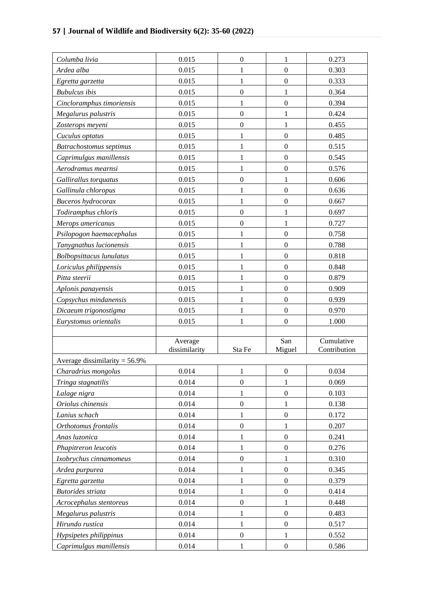# **57 | Journal of Wildlife and Biodiversity 6(2): 35-60 (2022)**

| Columba livia                                     | 0.015          | $\boldsymbol{0}$ | 1                     | 0.273          |
|---------------------------------------------------|----------------|------------------|-----------------------|----------------|
| Ardea alba                                        | 0.015          | 1                | $\mathbf{0}$          | 0.303          |
| Egretta garzetta                                  | 0.015          | 1                | $\overline{0}$        | 0.333          |
| <b>Bubulcus</b> ibis                              | 0.015          | $\boldsymbol{0}$ | $\mathbf{1}$          | 0.364          |
| Cincloramphus timoriensis                         | 0.015          | 1                | $\mathbf{0}$          | 0.394          |
| Megalurus palustris                               | 0.015          | $\boldsymbol{0}$ | $\mathbf{1}$          | 0.424          |
| Zosterops meyeni                                  | 0.015          | $\boldsymbol{0}$ | 1                     | 0.455          |
| Cuculus optatus                                   | 0.015          | 1                | $\boldsymbol{0}$      | 0.485          |
| Batrachostomus septimus                           | 0.015          | 1                | $\overline{0}$        | 0.515          |
| Caprimulgus manillensis                           | 0.015          | 1                | $\boldsymbol{0}$      | 0.545          |
| Aerodramus mearnsi                                | 0.015          | 1                | $\overline{0}$        | 0.576          |
| Gallirallus torquatus                             | 0.015          | $\boldsymbol{0}$ | 1                     | 0.606          |
| Gallinula chloropus                               | 0.015          | 1                | $\overline{0}$        | 0.636          |
| <b>Buceros</b> hydrocorax                         | 0.015          | 1                | $\boldsymbol{0}$      | 0.667          |
| Todiramphus chloris                               | 0.015          | $\overline{0}$   | 1                     | 0.697          |
| Merops americanus                                 | 0.015          | $\boldsymbol{0}$ | $\mathbf 1$           | 0.727          |
| Psilopogon haemacephalus                          | 0.015          | 1                | $\overline{0}$        | 0.758          |
| Tanygnathus lucionensis                           | 0.015          | 1                | $\boldsymbol{0}$      | 0.788          |
| <b>Bolbopsittacus lunulatus</b>                   | 0.015          | 1                | $\overline{0}$        | 0.818          |
| Loriculus philippensis                            | 0.015          | 1                | $\overline{0}$        | 0.848          |
| Pitta steerii                                     | 0.015          | 1                | $\overline{0}$        | 0.879          |
| Aplonis panayensis                                | 0.015          | 1                | $\boldsymbol{0}$      | 0.909          |
| Copsychus mindanensis                             | 0.015          | 1                | $\overline{0}$        | 0.939          |
| Dicaeum trigonostigma                             | 0.015          | 1                | $\overline{0}$        | 0.970          |
| Eurystomus orientalis                             | 0.015          | 1                | $\overline{0}$        | 1.000          |
|                                                   |                |                  |                       |                |
|                                                   | Average        |                  | San                   | Cumulative     |
|                                                   | dissimilarity  | Sta Fe           | Miguel                | Contribution   |
| Average dissimilarity = $56.9\%$                  |                |                  |                       |                |
| Charadrius mongolus                               | 0.014          | 1                | $\boldsymbol{0}$      | 0.034          |
| Tringa stagnatilis                                | 0.014          | $\boldsymbol{0}$ | 1                     | 0.069          |
| Lalage nigra                                      | 0.014          | 1                | $\boldsymbol{0}$      | 0.103          |
| Oriolus chinensis                                 | 0.014          | $\boldsymbol{0}$ | 1                     | 0.138          |
| Lanius schach                                     | 0.014          | 1                | $\boldsymbol{0}$      | 0.172          |
| Orthotomus frontalis                              | 0.014          | $\boldsymbol{0}$ | 1                     | 0.207          |
| Anas luzonica                                     | 0.014          | 1                | $\boldsymbol{0}$      | 0.241          |
| Phapitreron leucotis                              | 0.014          | 1                | $\mathbf{0}$          | 0.276          |
| Ixobrychus cinnamomeus                            | 0.014          | $\boldsymbol{0}$ | 1                     | 0.310          |
| Ardea purpurea                                    | 0.014          | 1                | $\overline{0}$        | 0.345          |
| Egretta garzetta                                  | 0.014          | 1                | $\boldsymbol{0}$      | 0.379          |
| <b>Butorides</b> striata                          | 0.014          | 1                | $\mathbf{0}$          | 0.414          |
| Acrocephalus stentoreus                           | 0.014          | $\boldsymbol{0}$ | 1                     | 0.448          |
| Megalurus palustris                               | 0.014          | 1                | $\overline{0}$        | 0.483          |
| Hirundo rustica                                   | 0.014          | 1                | $\boldsymbol{0}$      | 0.517          |
|                                                   |                |                  |                       |                |
| Hypsipetes philippinus<br>Caprimulgus manillensis | 0.014<br>0.014 | $\boldsymbol{0}$ | 1<br>$\boldsymbol{0}$ | 0.552<br>0.586 |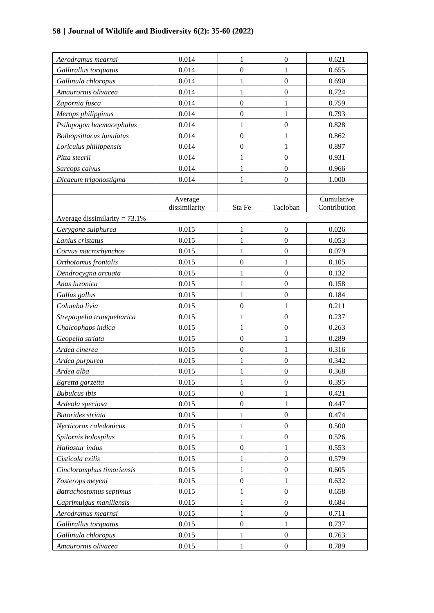| Aerodramus mearnsi               | 0.014                    | 1                | $\boldsymbol{0}$ | 0.621                      |
|----------------------------------|--------------------------|------------------|------------------|----------------------------|
| Gallirallus torquatus            | 0.014                    | $\mathbf{0}$     | $\mathbf{1}$     | 0.655                      |
| Gallinula chloropus              | 0.014                    | $\mathbf{1}$     | $\boldsymbol{0}$ | 0.690                      |
| Amaurornis olivacea              | 0.014                    | $\mathbf{1}$     | $\boldsymbol{0}$ | 0.724                      |
| Zapornia fusca                   | 0.014                    | $\boldsymbol{0}$ | 1                | 0.759                      |
| Merops philippinus               | 0.014                    | $\boldsymbol{0}$ | $\mathbf{1}$     | 0.793                      |
| Psilopogon haemacephalus         | 0.014                    | 1                | $\boldsymbol{0}$ | 0.828                      |
| <b>Bolbopsittacus lunulatus</b>  | 0.014                    | $\mathbf{0}$     | $\mathbf{1}$     | 0.862                      |
| Loriculus philippensis           | 0.014                    | $\boldsymbol{0}$ | $\mathbf{1}$     | 0.897                      |
| Pitta steerii                    | 0.014                    | $\mathbf{1}$     | $\boldsymbol{0}$ | 0.931                      |
| Sarcops calvus                   | 0.014                    | $\mathbf{1}$     | $\boldsymbol{0}$ | 0.966                      |
| Dicaeum trigonostigma            | 0.014                    | $\mathbf{1}$     | $\boldsymbol{0}$ | 1.000                      |
|                                  |                          |                  |                  |                            |
|                                  | Average<br>dissimilarity | Sta Fe           | Tacloban         | Cumulative<br>Contribution |
| Average dissimilarity = $73.1\%$ |                          |                  |                  |                            |
| Gerygone sulphurea               | 0.015                    | 1                | $\boldsymbol{0}$ | 0.026                      |
| Lanius cristatus                 | 0.015                    | 1                | $\boldsymbol{0}$ | 0.053                      |
| Corvus macrorhynchos             | 0.015                    | 1                | $\boldsymbol{0}$ | 0.079                      |
| Orthotomus frontalis             | 0.015                    | $\boldsymbol{0}$ | $\mathbf{1}$     | 0.105                      |
| Dendrocygna arcuata              | 0.015                    | 1                | $\boldsymbol{0}$ | 0.132                      |
| Anas luzonica                    | 0.015                    | 1                | $\boldsymbol{0}$ | 0.158                      |
| Gallus gallus                    | 0.015                    | 1                | $\boldsymbol{0}$ | 0.184                      |
| Columba livia                    | 0.015                    | $\boldsymbol{0}$ | $\mathbf{1}$     | 0.211                      |
| Streptopelia tranquebarica       | 0.015                    | 1                | $\boldsymbol{0}$ | 0.237                      |
| Chalcophaps indica               | 0.015                    | 1                | $\boldsymbol{0}$ | 0.263                      |
| Geopelia striata                 | 0.015                    | $\boldsymbol{0}$ | 1                | 0.289                      |
| Ardea cinerea                    | 0.015                    | $\boldsymbol{0}$ | $\mathbf{1}$     | 0.316                      |
| Ardea purpurea                   | 0.015                    | 1                | $\boldsymbol{0}$ | 0.342                      |
| Ardea alba                       | 0.015                    | 1                | $\boldsymbol{0}$ | 0.368                      |
| Egretta garzetta                 | 0.015                    |                  | $\boldsymbol{0}$ | 0.395                      |
| <b>Bubulcus</b> ibis             | 0.015                    | $\boldsymbol{0}$ | 1                | 0.421                      |
| Ardeola speciosa                 | 0.015                    | $\boldsymbol{0}$ | 1                | 0.447                      |
| <b>Butorides</b> striata         | 0.015                    | 1                | $\boldsymbol{0}$ | 0.474                      |
| Nycticorax caledonicus           | 0.015                    | 1                | $\boldsymbol{0}$ | 0.500                      |
| Spilornis holospilus             | 0.015                    | 1                | $\boldsymbol{0}$ | 0.526                      |
| Haliastur indus                  | 0.015                    | $\boldsymbol{0}$ | 1                | 0.553                      |
| Cisticola exilis                 | 0.015                    | 1                | $\boldsymbol{0}$ | 0.579                      |
| Cincloramphus timoriensis        | 0.015                    | 1                | $\boldsymbol{0}$ | 0.605                      |
| Zosterops meyeni                 | 0.015                    | $\boldsymbol{0}$ | $\mathbf 1$      | 0.632                      |
| Batrachostomus septimus          | 0.015                    | 1                | $\boldsymbol{0}$ | 0.658                      |
| Caprimulgus manillensis          | 0.015                    | 1                | $\boldsymbol{0}$ | 0.684                      |
| Aerodramus mearnsi               | 0.015                    | 1                | $\boldsymbol{0}$ | 0.711                      |
| Gallirallus torquatus            | 0.015                    | $\boldsymbol{0}$ | $\mathbf{1}$     | 0.737                      |
| Gallinula chloropus              | 0.015                    | 1                | $\boldsymbol{0}$ | 0.763                      |
| Amaurornis olivacea              | 0.015                    | 1                | $\boldsymbol{0}$ | 0.789                      |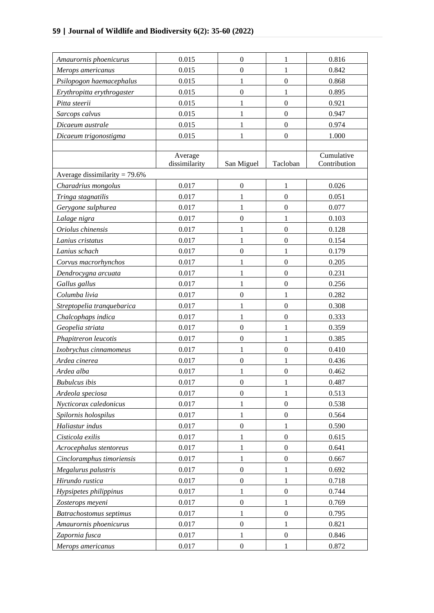| Amaurornis phoenicurus           | 0.015                    | $\boldsymbol{0}$ | 1                | 0.816                      |
|----------------------------------|--------------------------|------------------|------------------|----------------------------|
| Merops americanus                | 0.015                    | $\boldsymbol{0}$ | $\mathbf{1}$     | 0.842                      |
| Psilopogon haemacephalus         | 0.015                    | 1                | $\boldsymbol{0}$ | 0.868                      |
| Erythropitta erythrogaster       | 0.015                    | $\boldsymbol{0}$ | $\mathbf{1}$     | 0.895                      |
| Pitta steerii                    | 0.015                    | 1                | $\boldsymbol{0}$ | 0.921                      |
| Sarcops calvus                   | 0.015                    | 1                | $\boldsymbol{0}$ | 0.947                      |
| Dicaeum australe                 | 0.015                    | 1                | $\overline{0}$   | 0.974                      |
| Dicaeum trigonostigma            | 0.015                    | 1                | $\boldsymbol{0}$ | 1.000                      |
|                                  |                          |                  |                  |                            |
|                                  | Average<br>dissimilarity | San Miguel       | Tacloban         | Cumulative<br>Contribution |
| Average dissimilarity = $79.6\%$ |                          |                  |                  |                            |
| Charadrius mongolus              | 0.017                    | $\boldsymbol{0}$ | 1                | 0.026                      |
| Tringa stagnatilis               | 0.017                    | 1                | $\boldsymbol{0}$ | 0.051                      |
| Gerygone sulphurea               | 0.017                    | 1                | $\boldsymbol{0}$ | 0.077                      |
| Lalage nigra                     | 0.017                    | $\boldsymbol{0}$ | 1                | 0.103                      |
| Oriolus chinensis                | 0.017                    | 1                | $\boldsymbol{0}$ | 0.128                      |
| Lanius cristatus                 | 0.017                    | 1                | $\overline{0}$   | 0.154                      |
| Lanius schach                    | 0.017                    | $\boldsymbol{0}$ | 1                | 0.179                      |
| Corvus macrorhynchos             | 0.017                    | 1                | $\overline{0}$   | 0.205                      |
| Dendrocygna arcuata              | 0.017                    | 1                | $\boldsymbol{0}$ | 0.231                      |
| Gallus gallus                    | 0.017                    | 1                | $\boldsymbol{0}$ | 0.256                      |
| Columba livia                    | 0.017                    | $\boldsymbol{0}$ | 1                | 0.282                      |
| Streptopelia tranquebarica       | 0.017                    | 1                | $\overline{0}$   | 0.308                      |
| Chalcophaps indica               | 0.017                    | 1                | $\boldsymbol{0}$ | 0.333                      |
| Geopelia striata                 | 0.017                    | $\boldsymbol{0}$ | 1                | 0.359                      |
| Phapitreron leucotis             | 0.017                    | $\boldsymbol{0}$ | 1                | 0.385                      |
| Ixobrychus cinnamomeus           | 0.017                    | 1                | $\overline{0}$   | 0.410                      |
| Ardea cinerea                    | 0.017                    | $\boldsymbol{0}$ | 1                | 0.436                      |
| Ardea alba                       | 0.017                    | 1                | $\boldsymbol{0}$ | 0.462                      |
| <b>Bubulcus</b> ibis             | 0.017                    | $\boldsymbol{0}$ | 1                | 0.487                      |
| Ardeola speciosa                 | 0.017                    | $\theta$         | 1                | 0.513                      |
| Nycticorax caledonicus           | 0.017                    | 1                | $\mathbf{0}$     | 0.538                      |
| Spilornis holospilus             | 0.017                    | 1                | $\boldsymbol{0}$ | 0.564                      |
| Haliastur indus                  | 0.017                    | $\boldsymbol{0}$ | 1                | 0.590                      |
| Cisticola exilis                 | 0.017                    | 1                | $\boldsymbol{0}$ | 0.615                      |
| Acrocephalus stentoreus          | 0.017                    | 1                | $\mathbf{0}$     | 0.641                      |
| Cincloramphus timoriensis        | 0.017                    | 1                | $\boldsymbol{0}$ | 0.667                      |
| Megalurus palustris              | 0.017                    | $\theta$         | 1                | 0.692                      |
| Hirundo rustica                  | 0.017                    | $\boldsymbol{0}$ | 1                | 0.718                      |
| Hypsipetes philippinus           | 0.017                    | 1                | $\mathbf{0}$     | 0.744                      |
| Zosterops meyeni                 | 0.017                    | $\boldsymbol{0}$ | 1                | 0.769                      |
| Batrachostomus septimus          | 0.017                    | 1                | $\mathbf{0}$     | 0.795                      |
| Amaurornis phoenicurus           | 0.017                    | $\boldsymbol{0}$ | 1                | 0.821                      |
| Zapornia fusca                   | 0.017                    | 1                | $\boldsymbol{0}$ | 0.846                      |
| Merops americanus                | 0.017                    | $\boldsymbol{0}$ | 1                | 0.872                      |